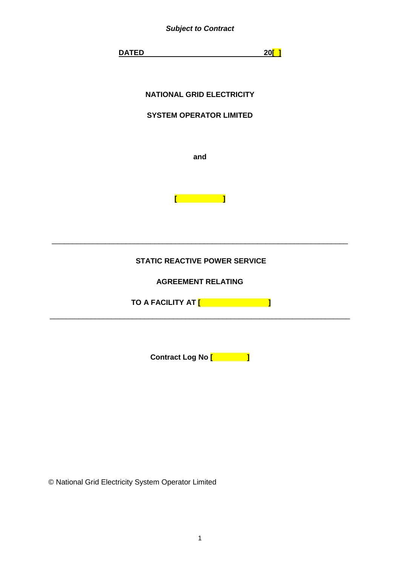

© National Grid Electricity System Operator Limited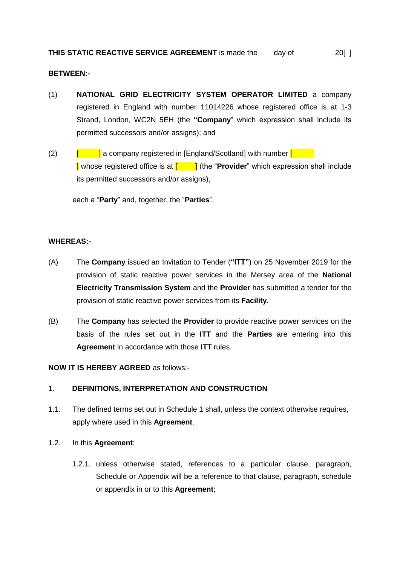# **BETWEEN:-**

- (1) **NATIONAL GRID ELECTRICITY SYSTEM OPERATOR LIMITED** a company registered in England with number 11014226 whose registered office is at 1-3 Strand, London, WC2N 5EH (the **"Company**" which expression shall include its permitted successors and/or assigns); and
- (2)  $\begin{bmatrix} 1 & 1 \end{bmatrix}$  a company registered in [England/Scotland] with number  $\begin{bmatrix} 1 & 1 \end{bmatrix}$ **I** whose registered office is at  $\begin{bmatrix} 1 & 1 \end{bmatrix}$  (the "**Provider**" which expression shall include its permitted successors and/or assigns),

each a "**Party**" and, together, the "**Parties**".

# **WHEREAS:-**

- (A) The **Company** issued an Invitation to Tender (**"ITT"**) on 25 November 2019 for the provision of static reactive power services in the Mersey area of the **National Electricity Transmission System** and the **Provider** has submitted a tender for the provision of static reactive power services from its **Facility**.
- (B) The **Company** has selected the **Provider** to provide reactive power services on the basis of the rules set out in the **ITT** and the **Parties** are entering into this **Agreement** in accordance with those **ITT** rules.

**NOW IT IS HEREBY AGREED** as follows:-

# 1. **DEFINITIONS, INTERPRETATION AND CONSTRUCTION**

1.1. The defined terms set out in Schedule 1 shall, unless the context otherwise requires, apply where used in this **Agreement**.

# 1.2. In this **Agreement**:

1.2.1. unless otherwise stated, references to a particular clause, paragraph, Schedule or Appendix will be a reference to that clause, paragraph, schedule or appendix in or to this **Agreement**;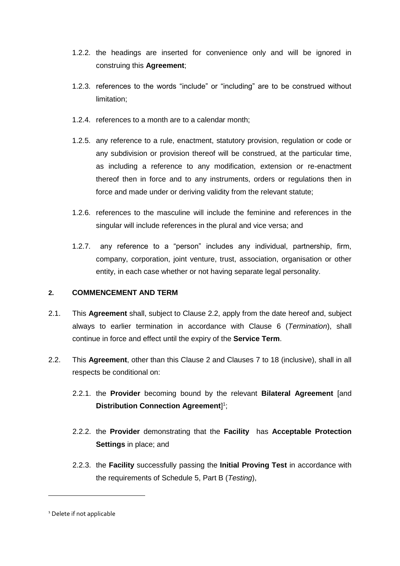- 1.2.2. the headings are inserted for convenience only and will be ignored in construing this **Agreement**;
- 1.2.3. references to the words "include" or "including" are to be construed without limitation;
- 1.2.4. references to a month are to a calendar month;
- 1.2.5. any reference to a rule, enactment, statutory provision, regulation or code or any subdivision or provision thereof will be construed, at the particular time, as including a reference to any modification, extension or re-enactment thereof then in force and to any instruments, orders or regulations then in force and made under or deriving validity from the relevant statute;
- 1.2.6. references to the masculine will include the feminine and references in the singular will include references in the plural and vice versa; and
- 1.2.7. any reference to a "person" includes any individual, partnership, firm, company, corporation, joint venture, trust, association, organisation or other entity, in each case whether or not having separate legal personality.

# **2. COMMENCEMENT AND TERM**

- 2.1. This **Agreement** shall, subject to Clause 2.2, apply from the date hereof and, subject always to earlier termination in accordance with Clause 6 (*Termination*), shall continue in force and effect until the expiry of the **Service Term**.
- <span id="page-2-0"></span>2.2. This **Agreement**, other than this Clause 2 and Clauses 7 to 18 (inclusive), shall in all respects be conditional on:
	- 2.2.1. the **Provider** becoming bound by the relevant **Bilateral Agreement** [and **Distribution Connection Agreement**] 1 ;
	- 2.2.2. the **Provider** demonstrating that the **Facility** has **Acceptable Protection Settings** in place; and
	- 2.2.3. the **Facility** successfully passing the **Initial Proving Test** in accordance with the requirements of Schedule 5, Part B (*Testing*),

<sup>&</sup>lt;sup>1</sup> Delete if not applicable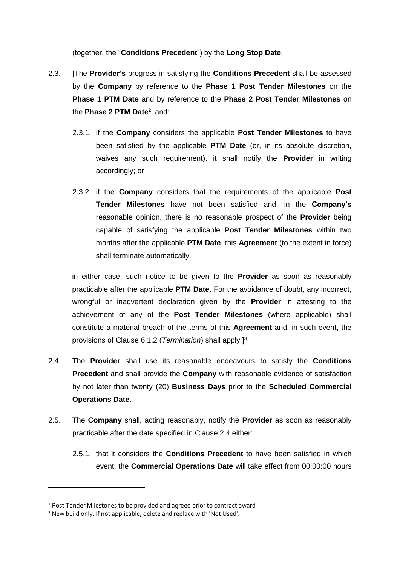(together, the "**Conditions Precedent**") by the **Long Stop Date**.

- 2.3. [The **Provider's** progress in satisfying the **Conditions Precedent** shall be assessed by the **Company** by reference to the **Phase 1 Post Tender Milestones** on the **Phase 1 PTM Date** and by reference to the **Phase 2 Post Tender Milestones** on the **Phase 2 PTM Date<sup>2</sup>** , and:
	- 2.3.1. if the **Company** considers the applicable **Post Tender Milestones** to have been satisfied by the applicable **PTM Date** (or, in its absolute discretion, waives any such requirement), it shall notify the **Provider** in writing accordingly; or
	- 2.3.2. if the **Company** considers that the requirements of the applicable **Post Tender Milestones** have not been satisfied and, in the **Company's** reasonable opinion, there is no reasonable prospect of the **Provider** being capable of satisfying the applicable **Post Tender Milestones** within two months after the applicable **PTM Date**, this **Agreement** (to the extent in force) shall terminate automatically,

in either case, such notice to be given to the **Provider** as soon as reasonably practicable after the applicable **PTM Date**. For the avoidance of doubt, any incorrect, wrongful or inadvertent declaration given by the **Provider** in attesting to the achievement of any of the **Post Tender Milestones** (where applicable) shall constitute a material breach of the terms of this **Agreement** and, in such event, the provisions of Clause [6.1.2](#page-15-0) (*Termination*) shall apply.] 3

- <span id="page-3-0"></span>2.4. The **Provider** shall use its reasonable endeavours to satisfy the **Conditions Precedent** and shall provide the **Company** with reasonable evidence of satisfaction by not later than twenty (20) **Business Days** prior to the **Scheduled Commercial Operations Date**.
- 2.5. The **Company** shall, acting reasonably, notify the **Provider** as soon as reasonably practicable after the date specified in Clause [2.4](#page-3-0) either:
	- 2.5.1. that it considers the **Conditions Precedent** to have been satisfied in which event, the **Commercial Operations Date** will take effect from 00:00:00 hours

<sup>2</sup> Post Tender Milestones to be provided and agreed prior to contract award

<sup>3</sup> New build only. If not applicable, delete and replace with 'Not Used'.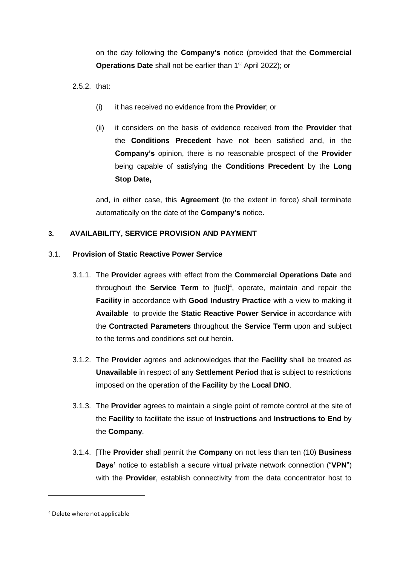on the day following the **Company's** notice (provided that the **Commercial Operations Date** shall not be earlier than 1<sup>st</sup> April 2022); or

 $2.5.2$  that:

- (i) it has received no evidence from the **Provider**; or
- (ii) it considers on the basis of evidence received from the **Provider** that the **Conditions Precedent** have not been satisfied and, in the **Company's** opinion, there is no reasonable prospect of the **Provider** being capable of satisfying the **Conditions Precedent** by the **Long Stop Date,**

and, in either case, this **Agreement** (to the extent in force) shall terminate automatically on the date of the **Company's** notice.

# <span id="page-4-0"></span>**3. AVAILABILITY, SERVICE PROVISION AND PAYMENT**

# 3.1. **Provision of Static Reactive Power Service**

- 3.1.1. The **Provider** agrees with effect from the **Commercial Operations Date** and throughout the **Service Term** to [fuel]<sup>4</sup>, operate, maintain and repair the **Facility** in accordance with **Good Industry Practice** with a view to making it **Available** to provide the **Static Reactive Power Service** in accordance with the **Contracted Parameters** throughout the **Service Term** upon and subject to the terms and conditions set out herein.
- <span id="page-4-2"></span>3.1.2. The **Provider** agrees and acknowledges that the **Facility** shall be treated as **Unavailable** in respect of any **Settlement Period** that is subject to restrictions imposed on the operation of the **Facility** by the **Local DNO**.
- 3.1.3. The **Provider** agrees to maintain a single point of remote control at the site of the **Facility** to facilitate the issue of **Instructions** and **Instructions to End** by the **Company**.
- <span id="page-4-1"></span>3.1.4. [The **Provider** shall permit the **Company** on not less than ten (10) **Business Days'** notice to establish a secure virtual private network connection ("**VPN**") with the **Provider**, establish connectivity from the data concentrator host to

<sup>4</sup> Delete where not applicable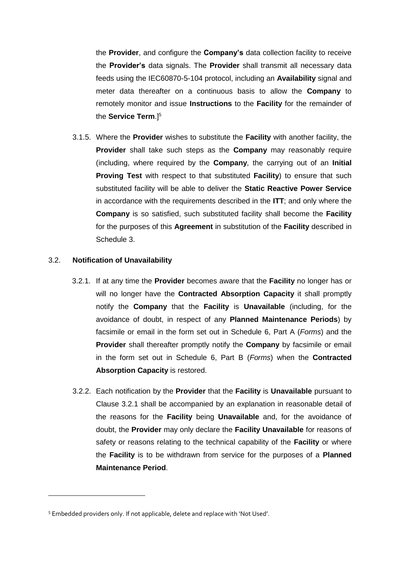the **Provider**, and configure the **Company's** data collection facility to receive the **Provider's** data signals. The **Provider** shall transmit all necessary data feeds using the IEC60870-5-104 protocol, including an **Availability** signal and meter data thereafter on a continuous basis to allow the **Company** to remotely monitor and issue **Instructions** to the **Facility** for the remainder of the **Service Term**.] 5

3.1.5. Where the **Provider** wishes to substitute the **Facility** with another facility, the **Provider** shall take such steps as the **Company** may reasonably require (including, where required by the **Company**, the carrying out of an **Initial Proving Test** with respect to that substituted **Facility**) to ensure that such substituted facility will be able to deliver the **Static Reactive Power Service**  in accordance with the requirements described in the **ITT**; and only where the **Company** is so satisfied, such substituted facility shall become the **Facility** for the purposes of this **Agreement** in substitution of the **Facility** described in Schedule 3.

#### <span id="page-5-0"></span>3.2. **Notification of Unavailability**

- 3.2.1. If at any time the **Provider** becomes aware that the **Facility** no longer has or will no longer have the **Contracted Absorption Capacity** it shall promptly notify the **Company** that the **Facility** is **Unavailable** (including, for the avoidance of doubt, in respect of any **Planned Maintenance Periods**) by facsimile or email in the form set out in Schedule 6, Part A (*Forms*) and the **Provider** shall thereafter promptly notify the **Company** by facsimile or email in the form set out in Schedule 6, Part B (*Forms*) when the **Contracted Absorption Capacity** is restored.
- <span id="page-5-1"></span>3.2.2. Each notification by the **Provider** that the **Facility** is **Unavailable** pursuant to Clause [3.2.1](#page-5-0) shall be accompanied by an explanation in reasonable detail of the reasons for the **Facility** being **Unavailable** and, for the avoidance of doubt, the **Provider** may only declare the **Facility Unavailable** for reasons of safety or reasons relating to the technical capability of the **Facility** or where the **Facility** is to be withdrawn from service for the purposes of a **Planned Maintenance Period**.

<sup>5</sup> Embedded providers only. If not applicable, delete and replace with 'Not Used'.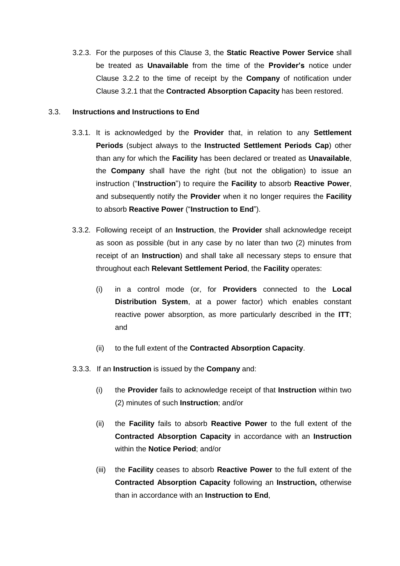<span id="page-6-3"></span>3.2.3. For the purposes of this Clause [3,](#page-4-0) the **Static Reactive Power Service** shall be treated as **Unavailable** from the time of the **Provider's** notice under Clause [3.2.2](#page-5-1) to the time of receipt by the **Company** of notification under Clause [3.2.1](#page-5-0) that the **Contracted Absorption Capacity** has been restored.

### <span id="page-6-4"></span><span id="page-6-1"></span>3.3. **Instructions and Instructions to End**

- 3.3.1. It is acknowledged by the **Provider** that, in relation to any **Settlement Periods** (subject always to the **Instructed Settlement Periods Cap**) other than any for which the **Facility** has been declared or treated as **Unavailable**, the **Company** shall have the right (but not the obligation) to issue an instruction ("**Instruction**") to require the **Facility** to absorb **Reactive Power**, and subsequently notify the **Provider** when it no longer requires the **Facility**  to absorb **Reactive Power** ("**Instruction to End**").
- <span id="page-6-2"></span>3.3.2. Following receipt of an **Instruction**, the **Provider** shall acknowledge receipt as soon as possible (but in any case by no later than two (2) minutes from receipt of an **Instruction**) and shall take all necessary steps to ensure that throughout each **Relevant Settlement Period**, the **Facility** operates:
	- (i) in a control mode (or, for **Providers** connected to the **Local Distribution System**, at a power factor) which enables constant reactive power absorption, as more particularly described in the **ITT**; and
	- (ii) to the full extent of the **Contracted Absorption Capacity**.
- <span id="page-6-0"></span>3.3.3. If an **Instruction** is issued by the **Company** and:
	- (i) the **Provider** fails to acknowledge receipt of that **Instruction** within two (2) minutes of such **Instruction**; and/or
	- (ii) the **Facility** fails to absorb **Reactive Power** to the full extent of the **Contracted Absorption Capacity** in accordance with an **Instruction**  within the **Notice Period**; and/or
	- (iii) the **Facility** ceases to absorb **Reactive Power** to the full extent of the **Contracted Absorption Capacity** following an **Instruction,** otherwise than in accordance with an **Instruction to End**,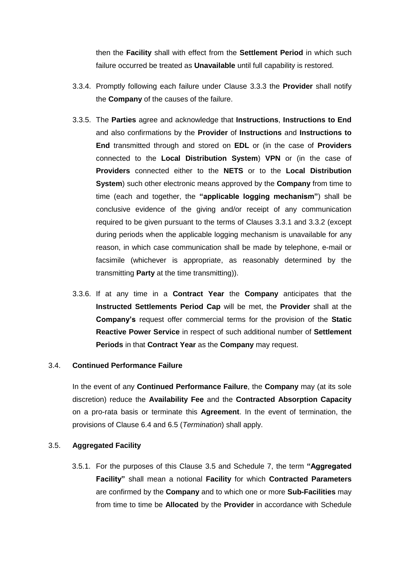then the **Facility** shall with effect from the **Settlement Period** in which such failure occurred be treated as **Unavailable** until full capability is restored.

- 3.3.4. Promptly following each failure under Clause [3.3.3](#page-6-0) the **Provider** shall notify the **Company** of the causes of the failure.
- 3.3.5. The **Parties** agree and acknowledge that **Instructions**, **Instructions to End** and also confirmations by the **Provider** of **Instructions** and **Instructions to End** transmitted through and stored on **EDL** or (in the case of **Providers** connected to the **Local Distribution System**) **VPN** or (in the case of **Providers** connected either to the **NETS** or to the **Local Distribution System**) such other electronic means approved by the **Company** from time to time (each and together, the **"applicable logging mechanism"**) shall be conclusive evidence of the giving and/or receipt of any communication required to be given pursuant to the terms of Clauses [3.3.1](#page-6-1) and [3.3.2](#page-6-2) (except during periods when the applicable logging mechanism is unavailable for any reason, in which case communication shall be made by telephone, e-mail or facsimile (whichever is appropriate, as reasonably determined by the transmitting **Party** at the time transmitting)).
- <span id="page-7-1"></span>3.3.6. If at any time in a **Contract Year** the **Company** anticipates that the **Instructed Settlements Period Cap** will be met, the **Provider** shall at the **Company's** request offer commercial terms for the provision of the **Static Reactive Power Service** in respect of such additional number of **Settlement Periods** in that **Contract Year** as the **Company** may request.

# 3.4. **Continued Performance Failure**

In the event of any **Continued Performance Failure**, the **Company** may (at its sole discretion) reduce the **Availability Fee** and the **Contracted Absorption Capacity**  on a pro-rata basis or terminate this **Agreement**. In the event of termination, the provisions of Clause [6.4](#page-18-0) and [6.5](#page-18-1) (*Termination*) shall apply.

# <span id="page-7-0"></span>3.5. **Aggregated Facility**

3.5.1. For the purposes of this Clause [3.5](#page-7-0) and Schedule 7, the term **"Aggregated Facility"** shall mean a notional **Facility** for which **Contracted Parameters**  are confirmed by the **Company** and to which one or more **Sub-Facilities** may from time to time be **Allocated** by the **Provider** in accordance with Schedule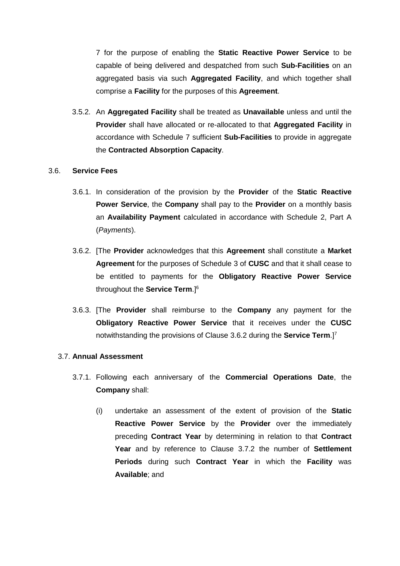7 for the purpose of enabling the **Static Reactive Power Service** to be capable of being delivered and despatched from such **Sub-Facilities** on an aggregated basis via such **Aggregated Facility**, and which together shall comprise a **Facility** for the purposes of this **Agreement**.

<span id="page-8-2"></span>3.5.2. An **Aggregated Facility** shall be treated as **Unavailable** unless and until the **Provider** shall have allocated or re-allocated to that **Aggregated Facility** in accordance with Schedule 7 sufficient **Sub-Facilities** to provide in aggregate the **Contracted Absorption Capacity**.

#### 3.6. **Service Fees**

- 3.6.1. In consideration of the provision by the **Provider** of the **Static Reactive Power Service**, the **Company** shall pay to the **Provider** on a monthly basis an **Availability Payment** calculated in accordance with Schedule 2, Part A (*Payments*).
- <span id="page-8-0"></span>3.6.2. [The **Provider** acknowledges that this **Agreement** shall constitute a **Market Agreement** for the purposes of Schedule 3 of **CUSC** and that it shall cease to be entitled to payments for the **Obligatory Reactive Power Service** throughout the **Service Term**.] 6
- <span id="page-8-1"></span>3.6.3. [The **Provider** shall reimburse to the **Company** any payment for the **Obligatory Reactive Power Service** that it receives under the **CUSC** notwithstanding the provisions of Clause [3.6.2](#page-8-0) during the **Service Term**.] 7

# 3.7. **Annual Assessment**

- 3.7.1. Following each anniversary of the **Commercial Operations Date**, the **Company** shall:
	- (i) undertake an assessment of the extent of provision of the **Static Reactive Power Service** by the **Provider** over the immediately preceding **Contract Year** by determining in relation to that **Contract Year** and by reference to Clause [3.7.2](#page-9-0) the number of **Settlement Periods** during such **Contract Year** in which the **Facility** was **Available**; and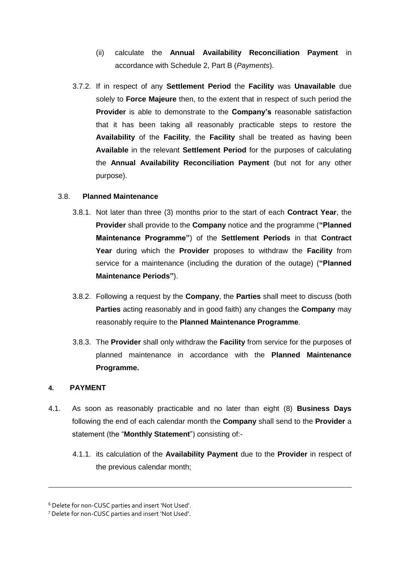- (ii) calculate the **Annual Availability Reconciliation Payment** in accordance with Schedule 2, Part B (*Payments*).
- <span id="page-9-2"></span><span id="page-9-0"></span>3.7.2. If in respect of any **Settlement Period** the **Facility** was **Unavailable** due solely to **Force Majeure** then, to the extent that in respect of such period the **Provider** is able to demonstrate to the **Company's** reasonable satisfaction that it has been taking all reasonably practicable steps to restore the **Availability** of the **Facility**, the **Facility** shall be treated as having been **Available** in the relevant **Settlement Period** for the purposes of calculating the **Annual Availability Reconciliation Payment** (but not for any other purpose).

# <span id="page-9-4"></span>3.8. **Planned Maintenance**

- 3.8.1. Not later than three (3) months prior to the start of each **Contract Year**, the **Provider** shall provide to the **Company** notice and the programme (**"Planned Maintenance Programme"**) of the **Settlement Periods** in that **Contract Year** during which the **Provider** proposes to withdraw the **Facility** from service for a maintenance (including the duration of the outage) (**"Planned Maintenance Periods"**).
- 3.8.2. Following a request by the **Company**, the **Parties** shall meet to discuss (both **Parties** acting reasonably and in good faith) any changes the **Company** may reasonably require to the **Planned Maintenance Programme**.
- 3.8.3. The **Provider** shall only withdraw the **Facility** from service for the purposes of planned maintenance in accordance with the **Planned Maintenance Programme.**

# <span id="page-9-1"></span>**4. PAYMENT**

- <span id="page-9-3"></span>4.1. As soon as reasonably practicable and no later than eight (8) **Business Days** following the end of each calendar month the **Company** shall send to the **Provider** a statement (the "**Monthly Statement**") consisting of:-
	- 4.1.1. its calculation of the **Availability Payment** due to the **Provider** in respect of the previous calendar month;

<sup>6</sup> Delete for non-CUSC parties and insert 'Not Used'.

<sup>7</sup> Delete for non-CUSC parties and insert 'Not Used'.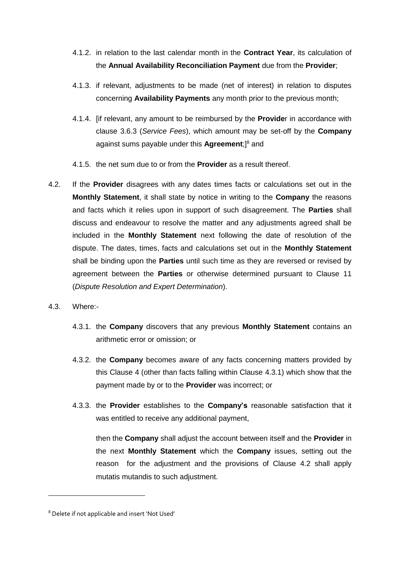- 4.1.2. in relation to the last calendar month in the **Contract Year**, its calculation of the **Annual Availability Reconciliation Payment** due from the **Provider**;
- 4.1.3. if relevant, adjustments to be made (net of interest) in relation to disputes concerning **Availability Payments** any month prior to the previous month;
- 4.1.4. [if relevant, any amount to be reimbursed by the **Provide**r in accordance with clause [3.6.3](#page-8-1) (*Service Fees*), which amount may be set-off by the **Company** against sums payable under this **Agreement**;]<sup>8</sup> and
- 4.1.5. the net sum due to or from the **Provider** as a result thereof.
- <span id="page-10-1"></span>4.2. If the **Provider** disagrees with any dates times facts or calculations set out in the **Monthly Statement**, it shall state by notice in writing to the **Company** the reasons and facts which it relies upon in support of such disagreement. The **Parties** shall discuss and endeavour to resolve the matter and any adjustments agreed shall be included in the **Monthly Statement** next following the date of resolution of the dispute. The dates, times, facts and calculations set out in the **Monthly Statement** shall be binding upon the **Parties** until such time as they are reversed or revised by agreement between the **Parties** or otherwise determined pursuant to Clause [11](#page-24-0) (*Dispute Resolution and Expert Determination*).
- <span id="page-10-0"></span>4.3. Where:-

-

- 4.3.1. the **Company** discovers that any previous **Monthly Statement** contains an arithmetic error or omission; or
- 4.3.2. the **Company** becomes aware of any facts concerning matters provided by this Clause 4 (other than facts falling within Clause [4.3.1\)](#page-10-0) which show that the payment made by or to the **Provider** was incorrect; or
- 4.3.3. the **Provider** establishes to the **Company's** reasonable satisfaction that it was entitled to receive any additional payment,

then the **Company** shall adjust the account between itself and the **Provider** in the next **Monthly Statement** which the **Company** issues, setting out the reason for the adjustment and the provisions of Clause [4.2](#page-10-1) shall apply mutatis mutandis to such adjustment.

<sup>8</sup> Delete if not applicable and insert 'Not Used'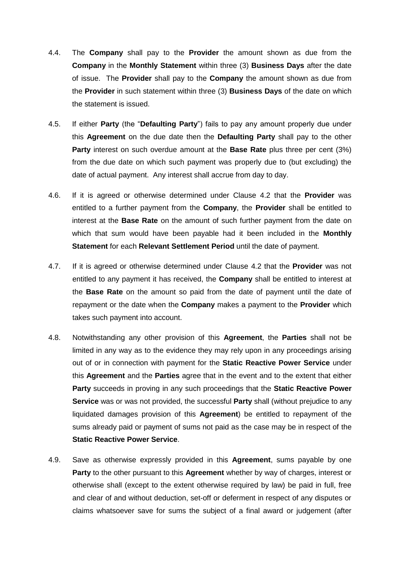- 4.4. The **Company** shall pay to the **Provider** the amount shown as due from the **Company** in the **Monthly Statement** within three (3) **Business Days** after the date of issue. The **Provider** shall pay to the **Company** the amount shown as due from the **Provider** in such statement within three (3) **Business Days** of the date on which the statement is issued.
- 4.5. If either **Party** (the "**Defaulting Party**") fails to pay any amount properly due under this **Agreement** on the due date then the **Defaulting Party** shall pay to the other **Party** interest on such overdue amount at the **Base Rate** plus three per cent (3%) from the due date on which such payment was properly due to (but excluding) the date of actual payment. Any interest shall accrue from day to day.
- 4.6. If it is agreed or otherwise determined under Clause [4.2](#page-10-1) that the **Provider** was entitled to a further payment from the **Company**, the **Provider** shall be entitled to interest at the **Base Rate** on the amount of such further payment from the date on which that sum would have been payable had it been included in the **Monthly Statement** for each **Relevant Settlement Period** until the date of payment.
- 4.7. If it is agreed or otherwise determined under Clause [4.2](#page-10-1) that the **Provider** was not entitled to any payment it has received, the **Company** shall be entitled to interest at the **Base Rate** on the amount so paid from the date of payment until the date of repayment or the date when the **Company** makes a payment to the **Provider** which takes such payment into account.
- 4.8. Notwithstanding any other provision of this **Agreement**, the **Parties** shall not be limited in any way as to the evidence they may rely upon in any proceedings arising out of or in connection with payment for the **Static Reactive Power Service** under this **Agreement** and the **Parties** agree that in the event and to the extent that either **Party** succeeds in proving in any such proceedings that the **Static Reactive Power Service** was or was not provided, the successful **Party** shall (without prejudice to any liquidated damages provision of this **Agreement**) be entitled to repayment of the sums already paid or payment of sums not paid as the case may be in respect of the **Static Reactive Power Service**.
- 4.9. Save as otherwise expressly provided in this **Agreement**, sums payable by one **Party** to the other pursuant to this **Agreement** whether by way of charges, interest or otherwise shall (except to the extent otherwise required by law) be paid in full, free and clear of and without deduction, set-off or deferment in respect of any disputes or claims whatsoever save for sums the subject of a final award or judgement (after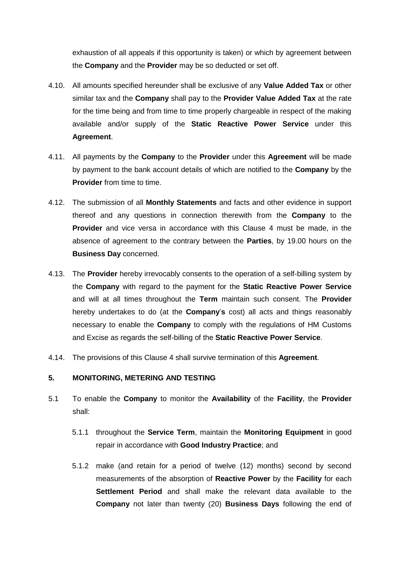exhaustion of all appeals if this opportunity is taken) or which by agreement between the **Company** and the **Provider** may be so deducted or set off.

- 4.10. All amounts specified hereunder shall be exclusive of any **Value Added Tax** or other similar tax and the **Company** shall pay to the **Provider Value Added Tax** at the rate for the time being and from time to time properly chargeable in respect of the making available and/or supply of the **Static Reactive Power Service** under this **Agreement**.
- 4.11. All payments by the **Company** to the **Provider** under this **Agreement** will be made by payment to the bank account details of which are notified to the **Company** by the **Provider** from time to time.
- 4.12. The submission of all **Monthly Statements** and facts and other evidence in support thereof and any questions in connection therewith from the **Company** to the **Provider** and vice versa in accordance with this Clause [4](#page-9-1) must be made, in the absence of agreement to the contrary between the **Parties**, by 19.00 hours on the **Business Day** concerned.
- 4.13. The **Provider** hereby irrevocably consents to the operation of a self-billing system by the **Company** with regard to the payment for the **Static Reactive Power Service** and will at all times throughout the **Term** maintain such consent. The **Provider** hereby undertakes to do (at the **Company**'**s** cost) all acts and things reasonably necessary to enable the **Company** to comply with the regulations of HM Customs and Excise as regards the self-billing of the **Static Reactive Power Service**.
- 4.14. The provisions of this Clause 4 shall survive termination of this **Agreement**.

# **5. MONITORING, METERING AND TESTING**

- <span id="page-12-0"></span>5.1 To enable the **Company** to monitor the **Availability** of the **Facility**, the **Provider** shall:
	- 5.1.1 throughout the **Service Term**, maintain the **Monitoring Equipment** in good repair in accordance with **Good Industry Practice**; and
	- 5.1.2 make (and retain for a period of twelve (12) months) second by second measurements of the absorption of **Reactive Power** by the **Facility** for each **Settlement Period** and shall make the relevant data available to the **Company** not later than twenty (20) **Business Days** following the end of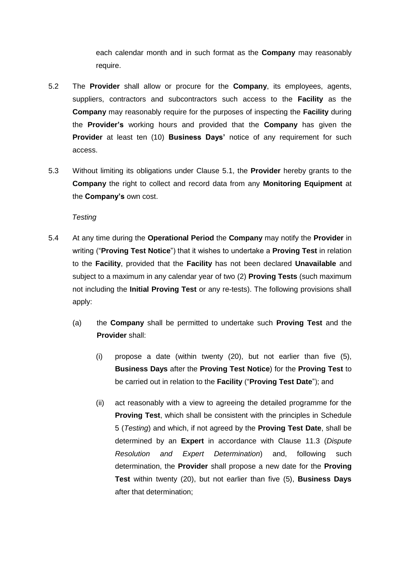each calendar month and in such format as the **Company** may reasonably require.

- 5.2 The **Provider** shall allow or procure for the **Company**, its employees, agents, suppliers, contractors and subcontractors such access to the **Facility** as the **Company** may reasonably require for the purposes of inspecting the **Facility** during the **Provider's** working hours and provided that the **Company** has given the **Provider** at least ten (10) **Business Days'** notice of any requirement for such access.
- 5.3 Without limiting its obligations under Clause [5.1,](#page-12-0) the **Provider** hereby grants to the **Company** the right to collect and record data from any **Monitoring Equipment** at the **Company's** own cost.

*Testing*

- <span id="page-13-0"></span>5.4 At any time during the **Operational Period** the **Company** may notify the **Provider** in writing ("**Proving Test Notice**") that it wishes to undertake a **Proving Test** in relation to the **Facility**, provided that the **Facility** has not been declared **Unavailable** and subject to a maximum in any calendar year of two (2) **Proving Tests** (such maximum not including the **Initial Proving Test** or any re-tests). The following provisions shall apply:
	- (a) the **Company** shall be permitted to undertake such **Proving Test** and the **Provider** shall:
		- (i) propose a date (within twenty (20), but not earlier than five (5), **Business Days** after the **Proving Test Notice**) for the **Proving Test** to be carried out in relation to the **Facility** ("**Proving Test Date**"); and
		- (ii) act reasonably with a view to agreeing the detailed programme for the **Proving Test**, which shall be consistent with the principles in Schedule 5 (*Testing*) and which, if not agreed by the **Proving Test Date**, shall be determined by an **Expert** in accordance with Clause [11.3](#page-25-0) (*Dispute Resolution and Expert Determination*) and, following such determination, the **Provider** shall propose a new date for the **Proving Test** within twenty (20), but not earlier than five (5), **Business Days** after that determination;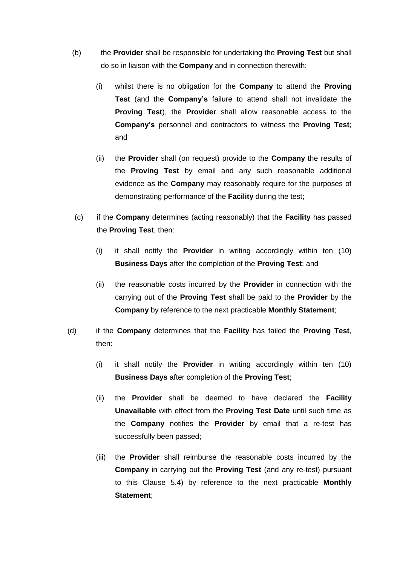- (b) the **Provider** shall be responsible for undertaking the **Proving Test** but shall do so in liaison with the **Company** and in connection therewith:
	- (i) whilst there is no obligation for the **Company** to attend the **Proving Test** (and the **Company's** failure to attend shall not invalidate the **Proving Test**), the **Provider** shall allow reasonable access to the **Company's** personnel and contractors to witness the **Proving Test**; and
	- (ii) the **Provider** shall (on request) provide to the **Company** the results of the **Proving Test** by email and any such reasonable additional evidence as the **Company** may reasonably require for the purposes of demonstrating performance of the **Facility** during the test;
- (c) if the **Company** determines (acting reasonably) that the **Facility** has passed the **Proving Test**, then:
	- (i) it shall notify the **Provider** in writing accordingly within ten (10) **Business Days** after the completion of the **Proving Test**; and
	- (ii) the reasonable costs incurred by the **Provider** in connection with the carrying out of the **Proving Test** shall be paid to the **Provider** by the **Company** by reference to the next practicable **Monthly Statement**;
- (d) if the **Company** determines that the **Facility** has failed the **Proving Test**, then:
	- (i) it shall notify the **Provider** in writing accordingly within ten (10) **Business Days** after completion of the **Proving Test**;
	- (ii) the **Provider** shall be deemed to have declared the **Facility Unavailable** with effect from the **Proving Test Date** until such time as the **Company** notifies the **Provider** by email that a re-test has successfully been passed;
	- (iii) the **Provider** shall reimburse the reasonable costs incurred by the **Company** in carrying out the **Proving Test** (and any re-test) pursuant to this Clause [5.4\)](#page-13-0) by reference to the next practicable **Monthly Statement**;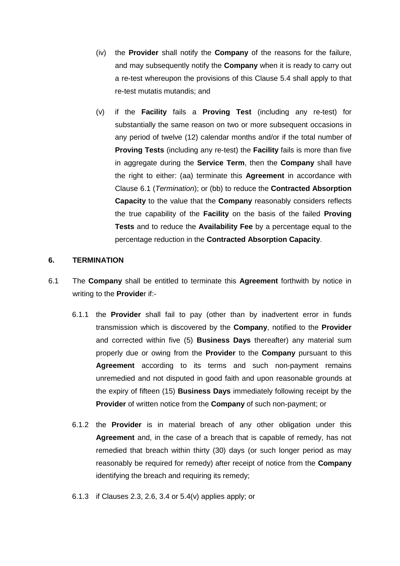- (iv) the **Provider** shall notify the **Company** of the reasons for the failure, and may subsequently notify the **Company** when it is ready to carry out a re-test whereupon the provisions of this Clause [5.4](#page-13-0) shall apply to that re-test mutatis mutandis; and
- (v) if the **Facility** fails a **Proving Test** (including any re-test) for substantially the same reason on two or more subsequent occasions in any period of twelve (12) calendar months and/or if the total number of **Proving Tests** (including any re-test) the **Facility** fails is more than five in aggregate during the **Service Term**, then the **Company** shall have the right to either: (aa) terminate this **Agreement** in accordance with Clause [6.1](#page-15-1) (*Termination*); or (bb) to reduce the **Contracted Absorption Capacity** to the value that the **Company** reasonably considers reflects the true capability of the **Facility** on the basis of the failed **Proving Tests** and to reduce the **Availability Fee** by a percentage equal to the percentage reduction in the **Contracted Absorption Capacity**.

#### **6. TERMINATION**

- <span id="page-15-1"></span><span id="page-15-0"></span>6.1 The **Company** shall be entitled to terminate this **Agreement** forthwith by notice in writing to the **Provide**r if:-
	- 6.1.1 the **Provider** shall fail to pay (other than by inadvertent error in funds transmission which is discovered by the **Company**, notified to the **Provider**  and corrected within five (5) **Business Days** thereafter) any material sum properly due or owing from the **Provider** to the **Company** pursuant to this **Agreement** according to its terms and such non-payment remains unremedied and not disputed in good faith and upon reasonable grounds at the expiry of fifteen (15) **Business Days** immediately following receipt by the **Provider** of written notice from the **Company** of such non-payment; or
	- 6.1.2 the **Provider** is in material breach of any other obligation under this **Agreement** and, in the case of a breach that is capable of remedy, has not remedied that breach within thirty (30) days (or such longer period as may reasonably be required for remedy) after receipt of notice from the **Company** identifying the breach and requiring its remedy;
	- 6.1.3 if Clauses 2.3, 2.6, 3.4 or 5.4(v) applies apply; or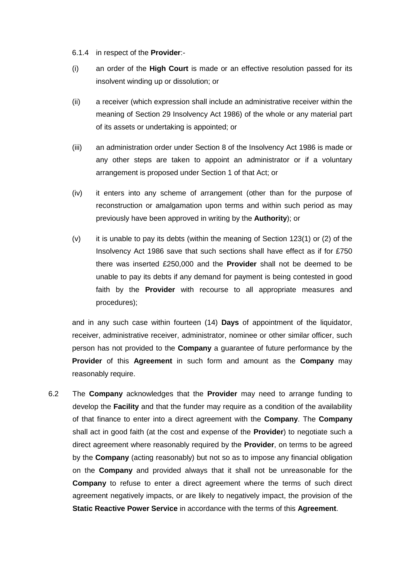6.1.4 in respect of the **Provider**:-

- (i) an order of the **High Court** is made or an effective resolution passed for its insolvent winding up or dissolution; or
- (ii) a receiver (which expression shall include an administrative receiver within the meaning of Section 29 Insolvency Act 1986) of the whole or any material part of its assets or undertaking is appointed; or
- (iii) an administration order under Section 8 of the Insolvency Act 1986 is made or any other steps are taken to appoint an administrator or if a voluntary arrangement is proposed under Section 1 of that Act; or
- (iv) it enters into any scheme of arrangement (other than for the purpose of reconstruction or amalgamation upon terms and within such period as may previously have been approved in writing by the **Authority**); or
- $(v)$  it is unable to pay its debts (within the meaning of Section 123(1) or (2) of the Insolvency Act 1986 save that such sections shall have effect as if for £750 there was inserted £250,000 and the **Provider** shall not be deemed to be unable to pay its debts if any demand for payment is being contested in good faith by the **Provider** with recourse to all appropriate measures and procedures);

and in any such case within fourteen (14) **Days** of appointment of the liquidator, receiver, administrative receiver, administrator, nominee or other similar officer, such person has not provided to the **Company** a guarantee of future performance by the **Provider** of this **Agreement** in such form and amount as the **Company** may reasonably require.

6.2 The **Company** acknowledges that the **Provider** may need to arrange funding to develop the **Facility** and that the funder may require as a condition of the availability of that finance to enter into a direct agreement with the **Company**. The **Company**  shall act in good faith (at the cost and expense of the **Provider**) to negotiate such a direct agreement where reasonably required by the **Provider**, on terms to be agreed by the **Company** (acting reasonably) but not so as to impose any financial obligation on the **Company** and provided always that it shall not be unreasonable for the **Company** to refuse to enter a direct agreement where the terms of such direct agreement negatively impacts, or are likely to negatively impact, the provision of the **Static Reactive Power Service** in accordance with the terms of this **Agreement**.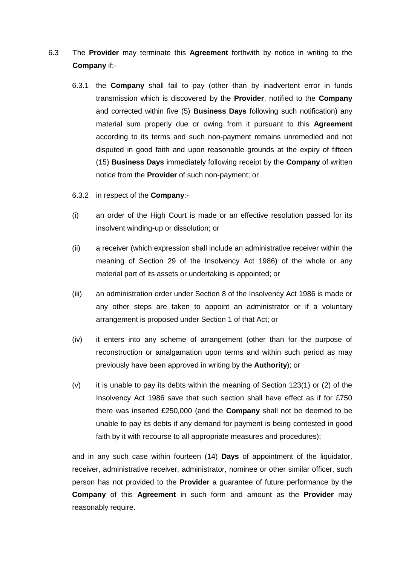- 6.3 The **Provider** may terminate this **Agreement** forthwith by notice in writing to the **Company** if:-
	- 6.3.1 the **Company** shall fail to pay (other than by inadvertent error in funds transmission which is discovered by the **Provider**, notified to the **Company** and corrected within five (5) **Business Days** following such notification) any material sum properly due or owing from it pursuant to this **Agreement** according to its terms and such non-payment remains unremedied and not disputed in good faith and upon reasonable grounds at the expiry of fifteen (15) **Business Days** immediately following receipt by the **Company** of written notice from the **Provider** of such non-payment; or
	- 6.3.2 in respect of the **Company**:-
	- (i) an order of the High Court is made or an effective resolution passed for its insolvent winding-up or dissolution; or
	- (ii) a receiver (which expression shall include an administrative receiver within the meaning of Section 29 of the Insolvency Act 1986) of the whole or any material part of its assets or undertaking is appointed; or
	- (iii) an administration order under Section 8 of the Insolvency Act 1986 is made or any other steps are taken to appoint an administrator or if a voluntary arrangement is proposed under Section 1 of that Act; or
	- (iv) it enters into any scheme of arrangement (other than for the purpose of reconstruction or amalgamation upon terms and within such period as may previously have been approved in writing by the **Authority**); or
	- $(v)$  it is unable to pay its debts within the meaning of Section 123(1) or (2) of the Insolvency Act 1986 save that such section shall have effect as if for £750 there was inserted £250,000 (and the **Company** shall not be deemed to be unable to pay its debts if any demand for payment is being contested in good faith by it with recourse to all appropriate measures and procedures);

and in any such case within fourteen (14) **Days** of appointment of the liquidator, receiver, administrative receiver, administrator, nominee or other similar officer, such person has not provided to the **Provider** a guarantee of future performance by the **Company** of this **Agreement** in such form and amount as the **Provider** may reasonably require.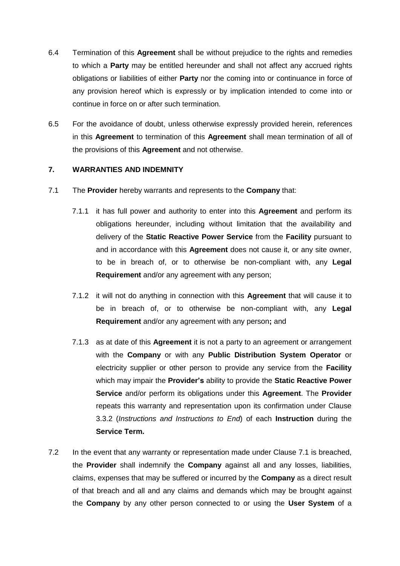- <span id="page-18-0"></span>6.4 Termination of this **Agreement** shall be without prejudice to the rights and remedies to which a **Party** may be entitled hereunder and shall not affect any accrued rights obligations or liabilities of either **Party** nor the coming into or continuance in force of any provision hereof which is expressly or by implication intended to come into or continue in force on or after such termination.
- <span id="page-18-1"></span>6.5 For the avoidance of doubt, unless otherwise expressly provided herein, references in this **Agreement** to termination of this **Agreement** shall mean termination of all of the provisions of this **Agreement** and not otherwise.

# **7. WARRANTIES AND INDEMNITY**

- <span id="page-18-2"></span>7.1 The **Provider** hereby warrants and represents to the **Company** that:
	- 7.1.1 it has full power and authority to enter into this **Agreement** and perform its obligations hereunder, including without limitation that the availability and delivery of the **Static Reactive Power Service** from the **Facility** pursuant to and in accordance with this **Agreement** does not cause it, or any site owner, to be in breach of, or to otherwise be non-compliant with, any **Legal Requirement** and/or any agreement with any person;
	- 7.1.2 it will not do anything in connection with this **Agreement** that will cause it to be in breach of, or to otherwise be non-compliant with, any **Legal Requirement** and/or any agreement with any person**;** and
	- 7.1.3 as at date of this **Agreement** it is not a party to an agreement or arrangement with the **Company** or with any **Public Distribution System Operator** or electricity supplier or other person to provide any service from the **Facility** which may impair the **Provider's** ability to provide the **Static Reactive Power Service** and/or perform its obligations under this **Agreement**. The **Provider** repeats this warranty and representation upon its confirmation under Clause [3.3.2](#page-6-2) (*Instructions and Instructions to End*) of each **Instruction** during the **Service Term.**
- 7.2 In the event that any warranty or representation made under Clause [7.1](#page-18-2) is breached, the **Provider** shall indemnify the **Company** against all and any losses, liabilities, claims, expenses that may be suffered or incurred by the **Company** as a direct result of that breach and all and any claims and demands which may be brought against the **Company** by any other person connected to or using the **User System** of a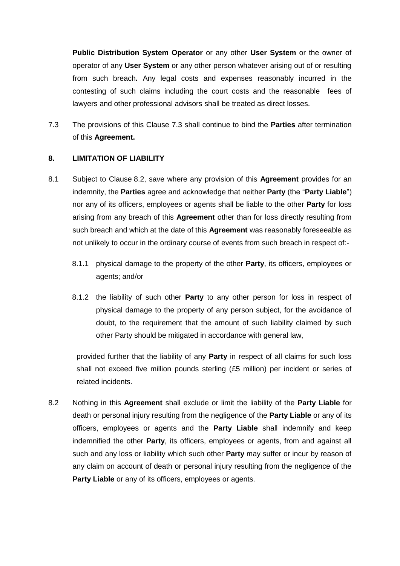**Public Distribution System Operator** or any other **User System** or the owner of operator of any **User System** or any other person whatever arising out of or resulting from such breach**.** Any legal costs and expenses reasonably incurred in the contesting of such claims including the court costs and the reasonable fees of lawyers and other professional advisors shall be treated as direct losses.

<span id="page-19-0"></span>7.3 The provisions of this Clause [7.3](#page-19-0) shall continue to bind the **Parties** after termination of this **Agreement.**

# <span id="page-19-4"></span>**8. LIMITATION OF LIABILITY**

- <span id="page-19-3"></span>8.1 Subject to Clause [8.2,](#page-19-1) save where any provision of this **Agreement** provides for an indemnity, the **Parties** agree and acknowledge that neither **Party** (the "**Party Liable**") nor any of its officers, employees or agents shall be liable to the other **Party** for loss arising from any breach of this **Agreement** other than for loss directly resulting from such breach and which at the date of this **Agreement** was reasonably foreseeable as not unlikely to occur in the ordinary course of events from such breach in respect of:-
	- 8.1.1 physical damage to the property of the other **Party**, its officers, employees or agents; and/or
	- 8.1.2 the liability of such other **Party** to any other person for loss in respect of physical damage to the property of any person subject, for the avoidance of doubt, to the requirement that the amount of such liability claimed by such other Party should be mitigated in accordance with general law,

<span id="page-19-2"></span>provided further that the liability of any **Party** in respect of all claims for such loss shall not exceed five million pounds sterling (£5 million) per incident or series of related incidents.

<span id="page-19-1"></span>8.2 Nothing in this **Agreement** shall exclude or limit the liability of the **Party Liable** for death or personal injury resulting from the negligence of the **Party Liable** or any of its officers, employees or agents and the **Party Liable** shall indemnify and keep indemnified the other **Party**, its officers, employees or agents, from and against all such and any loss or liability which such other **Party** may suffer or incur by reason of any claim on account of death or personal injury resulting from the negligence of the **Party Liable** or any of its officers, employees or agents.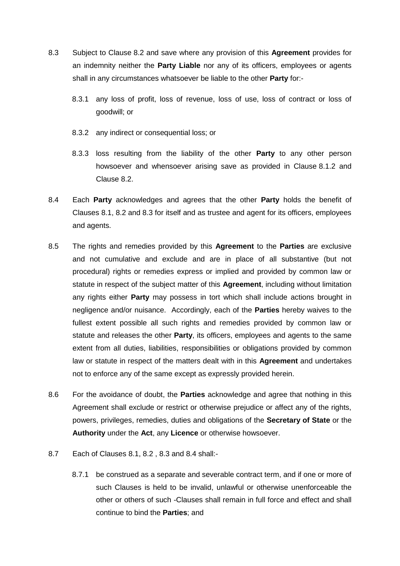- <span id="page-20-0"></span>8.3 Subject to Clause [8.2](#page-19-1) and save where any provision of this **Agreement** provides for an indemnity neither the **Party Liable** nor any of its officers, employees or agents shall in any circumstances whatsoever be liable to the other **Party** for:-
	- 8.3.1 any loss of profit, loss of revenue, loss of use, loss of contract or loss of goodwill; or
	- 8.3.2 any indirect or consequential loss; or
	- 8.3.3 loss resulting from the liability of the other **Party** to any other person howsoever and whensoever arising save as provided in Clause [8.1.2](#page-19-2) and Clause [8.2.](#page-19-1)
- <span id="page-20-1"></span>8.4 Each **Party** acknowledges and agrees that the other **Party** holds the benefit of Clauses [8.1,](#page-19-3) [8.2](#page-19-1) and [8.3](#page-20-0) for itself and as trustee and agent for its officers, employees and agents.
- 8.5 The rights and remedies provided by this **Agreement** to the **Parties** are exclusive and not cumulative and exclude and are in place of all substantive (but not procedural) rights or remedies express or implied and provided by common law or statute in respect of the subject matter of this **Agreement**, including without limitation any rights either **Party** may possess in tort which shall include actions brought in negligence and/or nuisance. Accordingly, each of the **Parties** hereby waives to the fullest extent possible all such rights and remedies provided by common law or statute and releases the other **Party**, its officers, employees and agents to the same extent from all duties, liabilities, responsibilities or obligations provided by common law or statute in respect of the matters dealt with in this **Agreement** and undertakes not to enforce any of the same except as expressly provided herein.
- 8.6 For the avoidance of doubt, the **Parties** acknowledge and agree that nothing in this Agreement shall exclude or restrict or otherwise prejudice or affect any of the rights, powers, privileges, remedies, duties and obligations of the **Secretary of State** or the **Authority** under the **Act**, any **Licence** or otherwise howsoever.
- 8.7 Each of Clauses [8.1,](#page-19-3) [8.2](#page-19-1) , [8.3](#page-20-0) and [8.4](#page-20-1) shall:-
	- 8.7.1 be construed as a separate and severable contract term, and if one or more of such Clauses is held to be invalid, unlawful or otherwise unenforceable the other or others of such -Clauses shall remain in full force and effect and shall continue to bind the **Parties**; and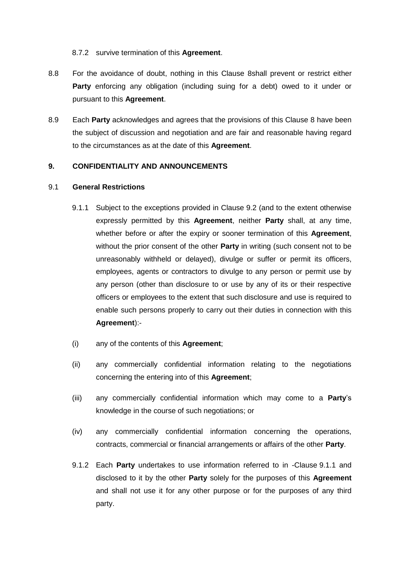### 8.7.2 survive termination of this **Agreement**.

- 8.8 For the avoidance of doubt, nothing in this Clause [8s](#page-19-4)hall prevent or restrict either **Party** enforcing any obligation (including suing for a debt) owed to it under or pursuant to this **Agreement**.
- 8.9 Each **Party** acknowledges and agrees that the provisions of this Clause [8](#page-19-4) have been the subject of discussion and negotiation and are fair and reasonable having regard to the circumstances as at the date of this **Agreement**.

### <span id="page-21-2"></span>**9. CONFIDENTIALITY AND ANNOUNCEMENTS**

#### <span id="page-21-1"></span><span id="page-21-0"></span>9.1 **General Restrictions**

- 9.1.1 Subject to the exceptions provided in Clause [9.2](#page-22-0) (and to the extent otherwise expressly permitted by this **Agreement**, neither **Party** shall, at any time, whether before or after the expiry or sooner termination of this **Agreement**, without the prior consent of the other **Party** in writing (such consent not to be unreasonably withheld or delayed), divulge or suffer or permit its officers, employees, agents or contractors to divulge to any person or permit use by any person (other than disclosure to or use by any of its or their respective officers or employees to the extent that such disclosure and use is required to enable such persons properly to carry out their duties in connection with this **Agreement**):-
- (i) any of the contents of this **Agreement**;
- (ii) any commercially confidential information relating to the negotiations concerning the entering into of this **Agreement**;
- (iii) any commercially confidential information which may come to a **Party**'s knowledge in the course of such negotiations; or
- (iv) any commercially confidential information concerning the operations, contracts, commercial or financial arrangements or affairs of the other **Party**.
- 9.1.2 Each **Party** undertakes to use information referred to in -Clause [9.1.1](#page-21-0) and disclosed to it by the other **Party** solely for the purposes of this **Agreement** and shall not use it for any other purpose or for the purposes of any third party.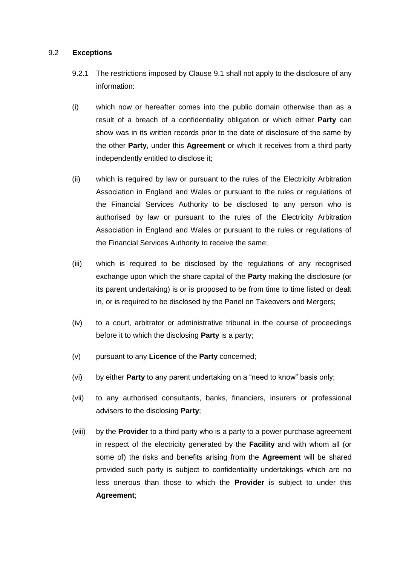#### <span id="page-22-0"></span>9.2 **Exceptions**

- 9.2.1 The restrictions imposed by Clause [9.1](#page-21-1) shall not apply to the disclosure of any information:
- (i) which now or hereafter comes into the public domain otherwise than as a result of a breach of a confidentiality obligation or which either **Party** can show was in its written records prior to the date of disclosure of the same by the other **Party**, under this **Agreement** or which it receives from a third party independently entitled to disclose it;
- (ii) which is required by law or pursuant to the rules of the Electricity Arbitration Association in England and Wales or pursuant to the rules or regulations of the Financial Services Authority to be disclosed to any person who is authorised by law or pursuant to the rules of the Electricity Arbitration Association in England and Wales or pursuant to the rules or regulations of the Financial Services Authority to receive the same;
- (iii) which is required to be disclosed by the regulations of any recognised exchange upon which the share capital of the **Party** making the disclosure (or its parent undertaking) is or is proposed to be from time to time listed or dealt in, or is required to be disclosed by the Panel on Takeovers and Mergers;
- (iv) to a court, arbitrator or administrative tribunal in the course of proceedings before it to which the disclosing **Party** is a party;
- (v) pursuant to any **Licence** of the **Party** concerned;
- <span id="page-22-1"></span>(vi) by either **Party** to any parent undertaking on a "need to know" basis only;
- (vii) to any authorised consultants, banks, financiers, insurers or professional advisers to the disclosing **Party**;
- <span id="page-22-2"></span>(viii) by the **Provider** to a third party who is a party to a power purchase agreement in respect of the electricity generated by the **Facility** and with whom all (or some of) the risks and benefits arising from the **Agreement** will be shared provided such party is subject to confidentiality undertakings which are no less onerous than those to which the **Provider** is subject to under this **Agreement**;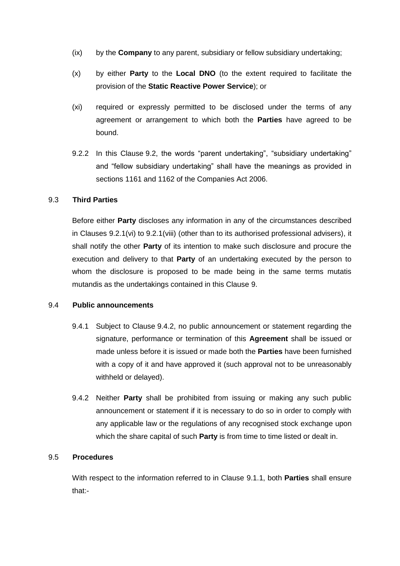- (ix) by the **Company** to any parent, subsidiary or fellow subsidiary undertaking;
- (x) by either **Party** to the **Local DNO** (to the extent required to facilitate the provision of the **Static Reactive Power Service**); or
- (xi) required or expressly permitted to be disclosed under the terms of any agreement or arrangement to which both the **Parties** have agreed to be bound.
- 9.2.2 In this Clause [9.2,](#page-22-0) the words "parent undertaking", "subsidiary undertaking" and "fellow subsidiary undertaking" shall have the meanings as provided in sections 1161 and 1162 of the Companies Act 2006.

# 9.3 **Third Parties**

Before either **Party** discloses any information in any of the circumstances described in Clauses [9.2.1\(vi\)](#page-22-1) to [9.2.1\(viii\)](#page-22-2) (other than to its authorised professional advisers), it shall notify the other **Party** of its intention to make such disclosure and procure the execution and delivery to that **Party** of an undertaking executed by the person to whom the disclosure is proposed to be made being in the same terms mutatis mutandis as the undertakings contained in this Clause [9.](#page-21-2)

# 9.4 **Public announcements**

- 9.4.1 Subject to Clause [9.4.2,](#page-23-0) no public announcement or statement regarding the signature, performance or termination of this **Agreement** shall be issued or made unless before it is issued or made both the **Parties** have been furnished with a copy of it and have approved it (such approval not to be unreasonably withheld or delayed).
- <span id="page-23-0"></span>9.4.2 Neither **Party** shall be prohibited from issuing or making any such public announcement or statement if it is necessary to do so in order to comply with any applicable law or the regulations of any recognised stock exchange upon which the share capital of such **Party** is from time to time listed or dealt in.

# 9.5 **Procedures**

With respect to the information referred to in Clause [9.1.1,](#page-21-0) both **Parties** shall ensure that:-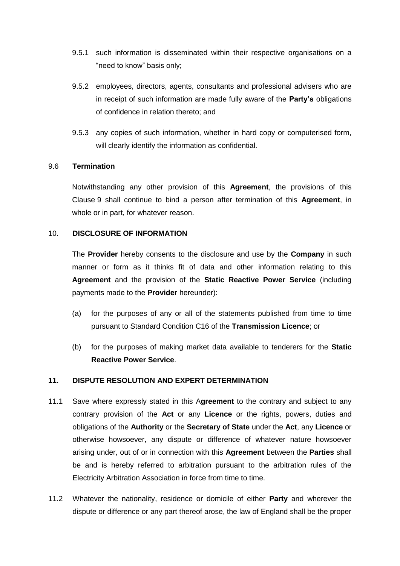- 9.5.1 such information is disseminated within their respective organisations on a "need to know" basis only;
- 9.5.2 employees, directors, agents, consultants and professional advisers who are in receipt of such information are made fully aware of the **Party's** obligations of confidence in relation thereto; and
- 9.5.3 any copies of such information, whether in hard copy or computerised form, will clearly identify the information as confidential.

# 9.6 **Termination**

Notwithstanding any other provision of this **Agreement**, the provisions of this Clause [9](#page-21-2) shall continue to bind a person after termination of this **Agreement**, in whole or in part, for whatever reason.

#### 10. **DISCLOSURE OF INFORMATION**

The **Provider** hereby consents to the disclosure and use by the **Company** in such manner or form as it thinks fit of data and other information relating to this **Agreement** and the provision of the **Static Reactive Power Service** (including payments made to the **Provider** hereunder):

- (a) for the purposes of any or all of the statements published from time to time pursuant to Standard Condition C16 of the **Transmission Licence**; or
- (b) for the purposes of making market data available to tenderers for the **Static Reactive Power Service**.

# <span id="page-24-0"></span>**11. DISPUTE RESOLUTION AND EXPERT DETERMINATION**

- 11.1 Save where expressly stated in this A**greement** to the contrary and subject to any contrary provision of the **Act** or any **Licence** or the rights, powers, duties and obligations of the **Authority** or the **Secretary of State** under the **Act**, any **Licence** or otherwise howsoever, any dispute or difference of whatever nature howsoever arising under, out of or in connection with this **Agreement** between the **Parties** shall be and is hereby referred to arbitration pursuant to the arbitration rules of the Electricity Arbitration Association in force from time to time.
- 11.2 Whatever the nationality, residence or domicile of either **Party** and wherever the dispute or difference or any part thereof arose, the law of England shall be the proper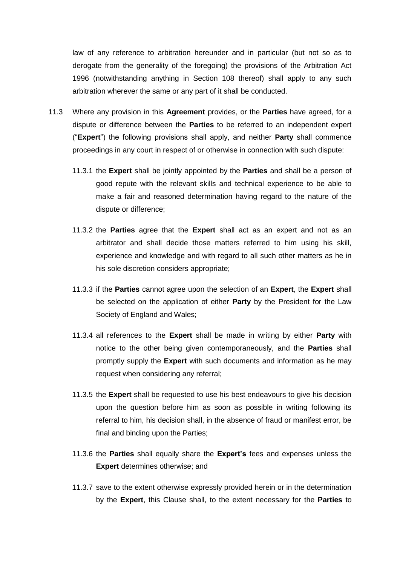law of any reference to arbitration hereunder and in particular (but not so as to derogate from the generality of the foregoing) the provisions of the Arbitration Act 1996 (notwithstanding anything in Section 108 thereof) shall apply to any such arbitration wherever the same or any part of it shall be conducted.

- <span id="page-25-0"></span>11.3 Where any provision in this **Agreement** provides, or the **Parties** have agreed, for a dispute or difference between the **Parties** to be referred to an independent expert ("**Expert**") the following provisions shall apply, and neither **Party** shall commence proceedings in any court in respect of or otherwise in connection with such dispute:
	- 11.3.1 the **Expert** shall be jointly appointed by the **Parties** and shall be a person of good repute with the relevant skills and technical experience to be able to make a fair and reasoned determination having regard to the nature of the dispute or difference;
	- 11.3.2 the **Parties** agree that the **Expert** shall act as an expert and not as an arbitrator and shall decide those matters referred to him using his skill, experience and knowledge and with regard to all such other matters as he in his sole discretion considers appropriate;
	- 11.3.3 if the **Parties** cannot agree upon the selection of an **Expert**, the **Expert** shall be selected on the application of either **Party** by the President for the Law Society of England and Wales;
	- 11.3.4 all references to the **Expert** shall be made in writing by either **Party** with notice to the other being given contemporaneously, and the **Parties** shall promptly supply the **Expert** with such documents and information as he may request when considering any referral;
	- 11.3.5 the **Expert** shall be requested to use his best endeavours to give his decision upon the question before him as soon as possible in writing following its referral to him, his decision shall, in the absence of fraud or manifest error, be final and binding upon the Parties;
	- 11.3.6 the **Parties** shall equally share the **Expert's** fees and expenses unless the **Expert** determines otherwise; and
	- 11.3.7 save to the extent otherwise expressly provided herein or in the determination by the **Expert**, this Clause shall, to the extent necessary for the **Parties** to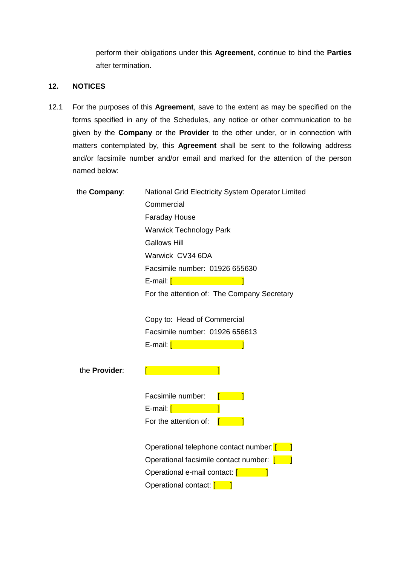perform their obligations under this **Agreement**, continue to bind the **Parties**  after termination.

# **12. NOTICES**

12.1 For the purposes of this **Agreement**, save to the extent as may be specified on the forms specified in any of the Schedules, any notice or other communication to be given by the **Company** or the **Provider** to the other under, or in connection with matters contemplated by, this **Agreement** shall be sent to the following address and/or facsimile number and/or email and marked for the attention of the person named below:

| the Company:         | National Grid Electricity System Operator Limited |
|----------------------|---------------------------------------------------|
|                      | Commercial                                        |
|                      | <b>Faraday House</b>                              |
|                      | <b>Warwick Technology Park</b>                    |
|                      | <b>Gallows Hill</b>                               |
|                      | Warwick CV34 6DA                                  |
|                      | Facsimile number: 01926 655630                    |
|                      | E-mail: [ <b>Company</b>                          |
|                      | For the attention of: The Company Secretary       |
|                      | Copy to: Head of Commercial                       |
|                      | Facsimile number: 01926 656613                    |
|                      |                                                   |
| the <b>Provider:</b> |                                                   |
|                      | Facsimile number:                                 |
|                      | E-mail: [www.com                                  |
|                      | For the attention of:                             |
|                      | Operational telephone contact number: [           |
|                      | Operational facsimile contact number: [1201]      |
|                      | Operational e-mail contact: [                     |
|                      | Operational contact: [                            |
|                      |                                                   |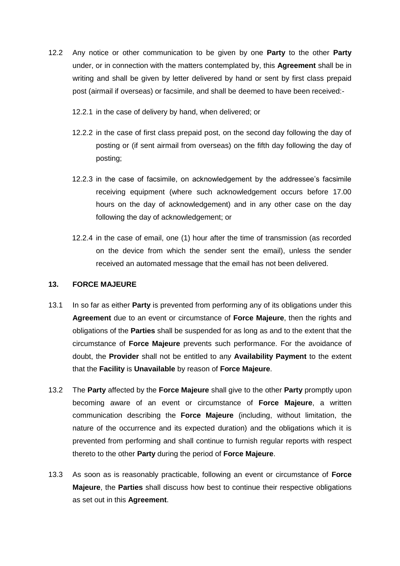- 12.2 Any notice or other communication to be given by one **Party** to the other **Party** under, or in connection with the matters contemplated by, this **Agreement** shall be in writing and shall be given by letter delivered by hand or sent by first class prepaid post (airmail if overseas) or facsimile, and shall be deemed to have been received:-
	- 12.2.1 in the case of delivery by hand, when delivered; or
	- 12.2.2 in the case of first class prepaid post, on the second day following the day of posting or (if sent airmail from overseas) on the fifth day following the day of posting;
	- 12.2.3 in the case of facsimile, on acknowledgement by the addressee's facsimile receiving equipment (where such acknowledgement occurs before 17.00 hours on the day of acknowledgement) and in any other case on the day following the day of acknowledgement; or
	- 12.2.4 in the case of email, one (1) hour after the time of transmission (as recorded on the device from which the sender sent the email), unless the sender received an automated message that the email has not been delivered.

### **13. FORCE MAJEURE**

- 13.1 In so far as either **Party** is prevented from performing any of its obligations under this **Agreement** due to an event or circumstance of **Force Majeure**, then the rights and obligations of the **Parties** shall be suspended for as long as and to the extent that the circumstance of **Force Majeure** prevents such performance. For the avoidance of doubt, the **Provider** shall not be entitled to any **Availability Payment** to the extent that the **Facility** is **Unavailable** by reason of **Force Majeure**.
- 13.2 The **Party** affected by the **Force Majeure** shall give to the other **Party** promptly upon becoming aware of an event or circumstance of **Force Majeure**, a written communication describing the **Force Majeure** (including, without limitation, the nature of the occurrence and its expected duration) and the obligations which it is prevented from performing and shall continue to furnish regular reports with respect thereto to the other **Party** during the period of **Force Majeure**.
- 13.3 As soon as is reasonably practicable, following an event or circumstance of **Force Majeure**, the **Parties** shall discuss how best to continue their respective obligations as set out in this **Agreement**.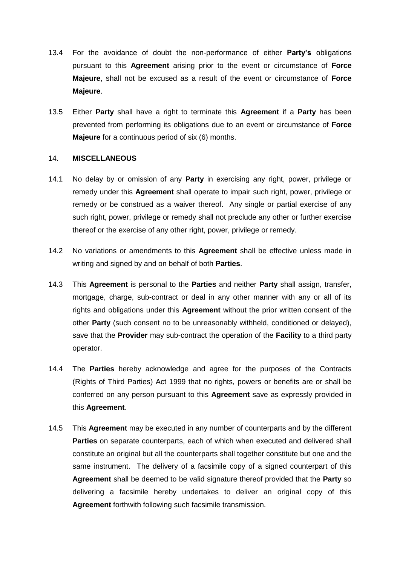- 13.4 For the avoidance of doubt the non-performance of either **Party's** obligations pursuant to this **Agreement** arising prior to the event or circumstance of **Force Majeure**, shall not be excused as a result of the event or circumstance of **Force Majeure**.
- 13.5 Either **Party** shall have a right to terminate this **Agreement** if a **Party** has been prevented from performing its obligations due to an event or circumstance of **Force Majeure** for a continuous period of six (6) months.

#### 14. **MISCELLANEOUS**

- 14.1 No delay by or omission of any **Party** in exercising any right, power, privilege or remedy under this **Agreement** shall operate to impair such right, power, privilege or remedy or be construed as a waiver thereof. Any single or partial exercise of any such right, power, privilege or remedy shall not preclude any other or further exercise thereof or the exercise of any other right, power, privilege or remedy.
- 14.2 No variations or amendments to this **Agreement** shall be effective unless made in writing and signed by and on behalf of both **Parties**.
- 14.3 This **Agreement** is personal to the **Parties** and neither **Party** shall assign, transfer, mortgage, charge, sub-contract or deal in any other manner with any or all of its rights and obligations under this **Agreement** without the prior written consent of the other **Party** (such consent no to be unreasonably withheld, conditioned or delayed), save that the **Provider** may sub-contract the operation of the **Facility** to a third party operator.
- 14.4 The **Parties** hereby acknowledge and agree for the purposes of the Contracts (Rights of Third Parties) Act 1999 that no rights, powers or benefits are or shall be conferred on any person pursuant to this **Agreement** save as expressly provided in this **Agreement**.
- 14.5 This **Agreement** may be executed in any number of counterparts and by the different **Parties** on separate counterparts, each of which when executed and delivered shall constitute an original but all the counterparts shall together constitute but one and the same instrument. The delivery of a facsimile copy of a signed counterpart of this **Agreement** shall be deemed to be valid signature thereof provided that the **Party** so delivering a facsimile hereby undertakes to deliver an original copy of this **Agreement** forthwith following such facsimile transmission.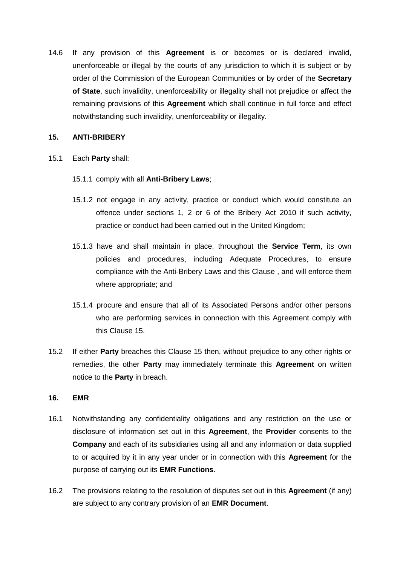14.6 If any provision of this **Agreement** is or becomes or is declared invalid, unenforceable or illegal by the courts of any jurisdiction to which it is subject or by order of the Commission of the European Communities or by order of the **Secretary of State**, such invalidity, unenforceability or illegality shall not prejudice or affect the remaining provisions of this **Agreement** which shall continue in full force and effect notwithstanding such invalidity, unenforceability or illegality.

# <span id="page-29-0"></span>**15. ANTI-BRIBERY**

- 15.1 Each **Party** shall:
	- 15.1.1 comply with all **Anti-Bribery Laws**;
	- 15.1.2 not engage in any activity, practice or conduct which would constitute an offence under sections 1, 2 or 6 of the Bribery Act 2010 if such activity, practice or conduct had been carried out in the United Kingdom;
	- 15.1.3 have and shall maintain in place, throughout the **Service Term**, its own policies and procedures, including Adequate Procedures, to ensure compliance with the Anti-Bribery Laws and this Clause , and will enforce them where appropriate; and
	- 15.1.4 procure and ensure that all of its Associated Persons and/or other persons who are performing services in connection with this Agreement comply with this Clause [15.](#page-29-0)
- 15.2 If either **Party** breaches this Clause [15](#page-29-0) then, without prejudice to any other rights or remedies, the other **Party** may immediately terminate this **Agreement** on written notice to the **Party** in breach.

# **16. EMR**

- 16.1 Notwithstanding any confidentiality obligations and any restriction on the use or disclosure of information set out in this **Agreement**, the **Provider** consents to the **Company** and each of its subsidiaries using all and any information or data supplied to or acquired by it in any year under or in connection with this **Agreement** for the purpose of carrying out its **EMR Functions**.
- 16.2 The provisions relating to the resolution of disputes set out in this **Agreement** (if any) are subject to any contrary provision of an **EMR Document**.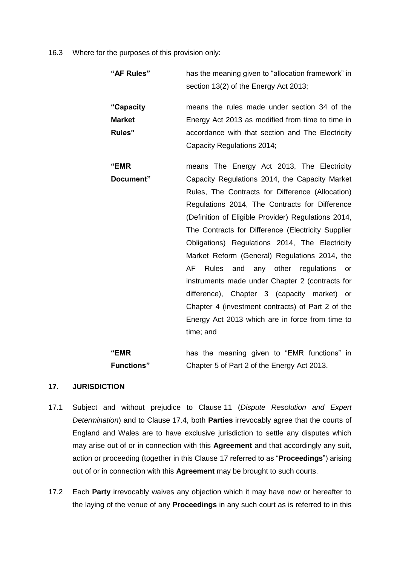16.3 Where for the purposes of this provision only:

| "AF Rules"    | has the meaning given to "allocation framework" in<br>section 13(2) of the Energy Act 2013; |  |  |
|---------------|---------------------------------------------------------------------------------------------|--|--|
| "Capacity     | means the rules made under section 34 of the                                                |  |  |
| <b>Market</b> | Energy Act 2013 as modified from time to time in                                            |  |  |
| Rules"        | accordance with that section and The Electricity                                            |  |  |
|               | Capacity Regulations 2014;                                                                  |  |  |
| "EMR          | means The Energy Act 2013, The Electricity                                                  |  |  |
| Document"     | Capacity Regulations 2014, the Capacity Market                                              |  |  |
|               | Rules, The Contracts for Difference (Allocation)                                            |  |  |
|               | Regulations 2014, The Contracts for Difference                                              |  |  |
|               | (Definition of Eligible Provider) Regulations 2014,                                         |  |  |
|               | The Contracts for Difference (Electricity Supplier                                          |  |  |
|               | Obligations) Regulations 2014, The Electricity                                              |  |  |
|               | Market Reform (General) Regulations 2014, the                                               |  |  |
|               | AF<br><b>Rules</b><br>and any other regulations<br>or                                       |  |  |
|               | instruments made under Chapter 2 (contracts for                                             |  |  |
|               | difference), Chapter 3 (capacity market)<br>or                                              |  |  |
|               | Chapter 4 (investment contracts) of Part 2 of the                                           |  |  |
|               | Energy Act 2013 which are in force from time to                                             |  |  |
|               | time; and                                                                                   |  |  |
|               |                                                                                             |  |  |

**"EMR Functions"** has the meaning given to "EMR functions" in Chapter 5 of Part 2 of the Energy Act 2013.

# <span id="page-30-0"></span>**17. JURISDICTION**

- 17.1 Subject and without prejudice to Clause [11](#page-24-0) (*Dispute Resolution and Expert Determination*) and to Clause [17.4,](#page-31-0) both **Parties** irrevocably agree that the courts of England and Wales are to have exclusive jurisdiction to settle any disputes which may arise out of or in connection with this **Agreement** and that accordingly any suit, action or proceeding (together in this Clause [17](#page-30-0) referred to as "**Proceedings**") arising out of or in connection with this **Agreement** may be brought to such courts.
- 17.2 Each **Party** irrevocably waives any objection which it may have now or hereafter to the laying of the venue of any **Proceedings** in any such court as is referred to in this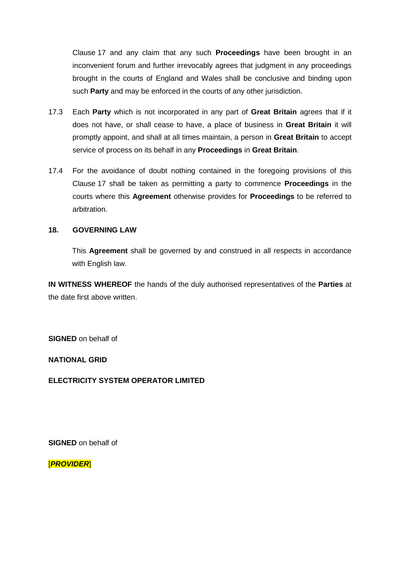Clause [17](#page-30-0) and any claim that any such **Proceedings** have been brought in an inconvenient forum and further irrevocably agrees that judgment in any proceedings brought in the courts of England and Wales shall be conclusive and binding upon such **Party** and may be enforced in the courts of any other jurisdiction.

- 17.3 Each **Party** which is not incorporated in any part of **Great Britain** agrees that if it does not have, or shall cease to have, a place of business in **Great Britain** it will promptly appoint, and shall at all times maintain, a person in **Great Britain** to accept service of process on its behalf in any **Proceedings** in **Great Britain**.
- <span id="page-31-0"></span>17.4 For the avoidance of doubt nothing contained in the foregoing provisions of this Clause [17](#page-30-0) shall be taken as permitting a party to commence **Proceedings** in the courts where this **Agreement** otherwise provides for **Proceedings** to be referred to arbitration.

# **18. GOVERNING LAW**

This **Agreement** shall be governed by and construed in all respects in accordance with English law.

**IN WITNESS WHEREOF** the hands of the duly authorised representatives of the **Parties** at the date first above written.

**SIGNED** on behalf of

**NATIONAL GRID** 

**ELECTRICITY SYSTEM OPERATOR LIMITED**

**SIGNED** on behalf of

[*PROVIDER*]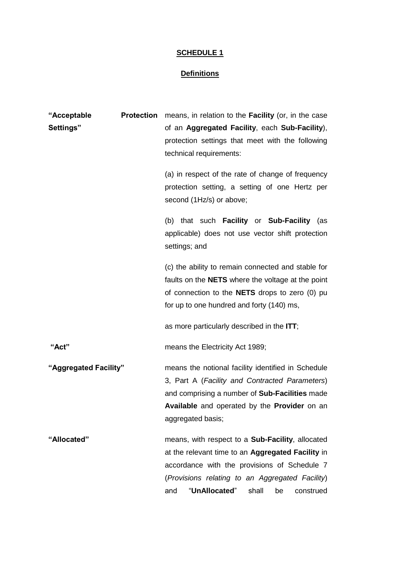# **SCHEDULE 1**

# **Definitions**

| "Acceptable           | <b>Protection</b> | means, in relation to the <b>Facility</b> (or, in the case |  |  |
|-----------------------|-------------------|------------------------------------------------------------|--|--|
| Settings"             |                   | of an Aggregated Facility, each Sub-Facility),             |  |  |
|                       |                   | protection settings that meet with the following           |  |  |
|                       |                   | technical requirements:                                    |  |  |
|                       |                   | (a) in respect of the rate of change of frequency          |  |  |
|                       |                   | protection setting, a setting of one Hertz per             |  |  |
|                       |                   | second (1Hz/s) or above;                                   |  |  |
|                       |                   | (b) that such <b>Facility</b> or <b>Sub-Facility</b> (as   |  |  |
|                       |                   | applicable) does not use vector shift protection           |  |  |
|                       |                   | settings; and                                              |  |  |
|                       |                   | (c) the ability to remain connected and stable for         |  |  |
|                       |                   | faults on the <b>NETS</b> where the voltage at the point   |  |  |
|                       |                   | of connection to the <b>NETS</b> drops to zero (0) pu      |  |  |
|                       |                   | for up to one hundred and forty (140) ms,                  |  |  |
|                       |                   | as more particularly described in the ITT;                 |  |  |
| "Act"                 |                   | means the Electricity Act 1989;                            |  |  |
| "Aggregated Facility" |                   | means the notional facility identified in Schedule         |  |  |
|                       |                   | 3, Part A (Facility and Contracted Parameters)             |  |  |
|                       |                   | and comprising a number of Sub-Facilities made             |  |  |
|                       |                   | Available and operated by the Provider on an               |  |  |
|                       |                   | aggregated basis;                                          |  |  |
| "Allocated"           |                   | means, with respect to a Sub-Facility, allocated           |  |  |
|                       |                   | at the relevant time to an Aggregated Facility in          |  |  |
|                       |                   | accordance with the provisions of Schedule 7               |  |  |
|                       |                   | (Provisions relating to an Aggregated Facility)            |  |  |
|                       |                   | "UnAllocated"<br>and<br>shall<br>be<br>construed           |  |  |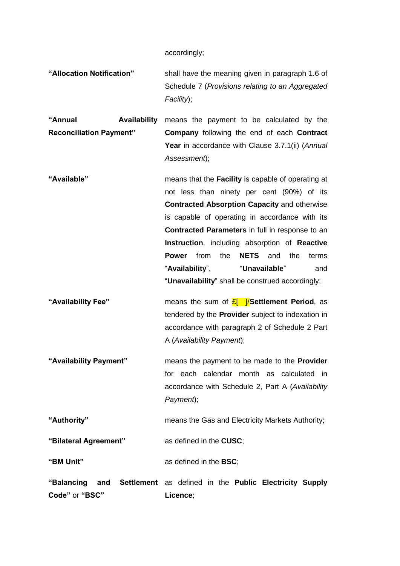accordingly;

**"Allocation Notification"** shall have the meaning given in paragraph 1.6 of Schedule 7 (*Provisions relating to an Aggregated Facility*);

**"Annual Availability Reconciliation Payment"** means the payment to be calculated by the **Company** following the end of each **Contract Year** in accordance with Clause [3.7.1\(ii\)](#page-9-2) (*Annual Assessment*);

- **"Available"** means that the **Facility** is capable of operating at not less than ninety per cent (90%) of its **Contracted Absorption Capacity** and otherwise is capable of operating in accordance with its **Contracted Parameters** in full in response to an **Instruction**, including absorption of **Reactive Power** from the **NETS** and the terms "**Availability**", "**Unavailable**" and "**Unavailability**" shall be construed accordingly;
- **"Availability Fee"** means the sum of £[ ]/**Settlement Period**, as tendered by the **Provider** subject to indexation in accordance with paragraph 2 of Schedule 2 Part A (*Availability Payment*);
- **"Availability Payment"** means the payment to be made to the **Provider** for each calendar month as calculated in accordance with Schedule 2, Part A (*Availability Payment*);

**"Authority"** means the Gas and Electricity Markets Authority;

**"Bilateral Agreement"** as defined in the **CUSC**;

**"BM Unit"** as defined in the **BSC**;

**"Balancing and Settlement**  as defined in the **Public Electricity Supply Code"** or **"BSC" Licence**;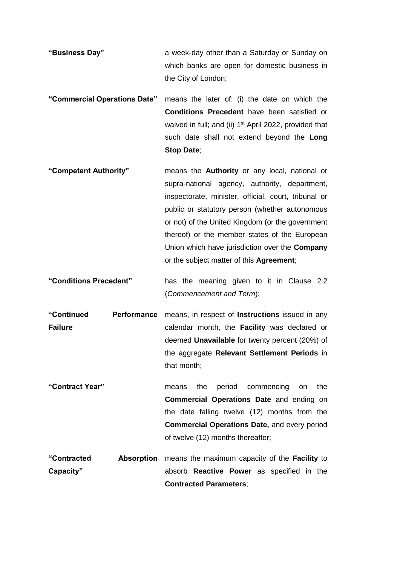- **"Business Day"** a week-day other than a Saturday or Sunday on which banks are open for domestic business in the City of London;
- **"Commercial Operations Date"** means the later of: (i) the date on which the **Conditions Precedent** have been satisfied or waived in full; and (ii) 1<sup>st</sup> April 2022, provided that such date shall not extend beyond the **Long Stop Date**;
- **"Competent Authority"** means the **Authority** or any local, national or supra-national agency, authority, department, inspectorate, minister, official, court, tribunal or public or statutory person (whether autonomous or not) of the United Kingdom (or the government thereof) or the member states of the European Union which have jurisdiction over the **Company** or the subject matter of this **Agreement**;
- **"Conditions Precedent"** has the meaning given to it in Clause [2.2](#page-2-0) (*Commencement and Term*);
- **"Continued Performance Failure**  means, in respect of **Instructions** issued in any calendar month, the **Facility** was declared or deemed **Unavailable** for twenty percent (20%) of the aggregate **Relevant Settlement Periods** in that month;
- **"Contract Year"** means the period commencing on the **Commercial Operations Date** and ending on the date falling twelve (12) months from the **Commercial Operations Date,** and every period of twelve (12) months thereafter;
- **"Contracted Absorption**  means the maximum capacity of the **Facility** to **Capacity"** absorb **Reactive Power** as specified in the **Contracted Parameters**;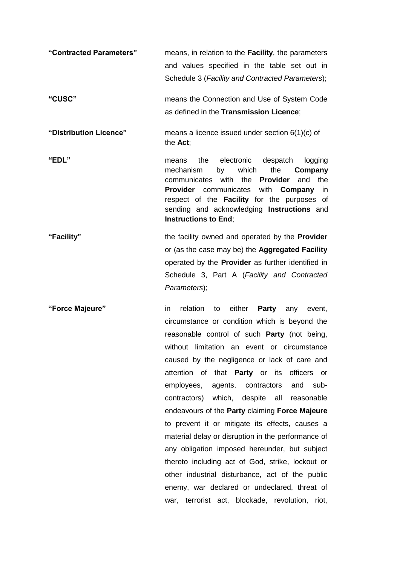- **"Contracted Parameters"** means, in relation to the **Facility**, the parameters and values specified in the table set out in Schedule 3 (*Facility and Contracted Parameters*); **"CUSC"** means the Connection and Use of System Code as defined in the **Transmission Licence**; **"Distribution Licence"** means a licence issued under section 6(1)(c) of the **Act**; **"EDL"** means the electronic despatch logging mechanism by which the **Company** communicates with the **Provider** and the **Provider** communicates with **Company** in respect of the **Facility** for the purposes of sending and acknowledging **Instructions** and **Instructions to End**; **"Facility"** the facility owned and operated by the **Provider**
- or (as the case may be) the **Aggregated Facility**  operated by the **Provider** as further identified in Schedule 3, Part A (*Facility and Contracted Parameters*);
- **"Force Majeure"** in relation to either **Party** any event, circumstance or condition which is beyond the reasonable control of such **Party** (not being, without limitation an event or circumstance caused by the negligence or lack of care and attention of that **Party** or its officers or employees, agents, contractors and subcontractors) which, despite all reasonable endeavours of the **Party** claiming **Force Majeure** to prevent it or mitigate its effects, causes a material delay or disruption in the performance of any obligation imposed hereunder, but subject thereto including act of God, strike, lockout or other industrial disturbance, act of the public enemy, war declared or undeclared, threat of war, terrorist act, blockade, revolution, riot,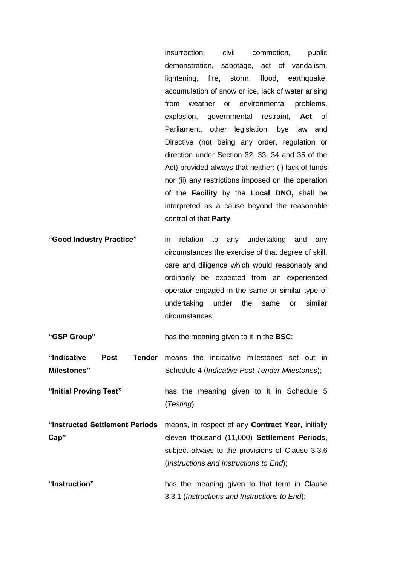insurrection, civil commotion, public demonstration, sabotage, act of vandalism, lightening, fire, storm, flood, earthquake, accumulation of snow or ice, lack of water arising from weather or environmental problems, explosion, governmental restraint, **Act** of Parliament, other legislation, bye law and Directive (not being any order, regulation or direction under Section 32, 33, 34 and 35 of the Act) provided always that neither: (i) lack of funds nor (ii) any restrictions imposed on the operation of the **Facility** by the **Local DNO,** shall be interpreted as a cause beyond the reasonable control of that **Party**;

**"Good Industry Practice"** in relation to any undertaking and any circumstances the exercise of that degree of skill, care and diligence which would reasonably and ordinarily be expected from an experienced operator engaged in the same or similar type of undertaking under the same or similar circumstances;

**"GSP Group"** has the meaning given to it in the **BSC**;

"Indicative Post **Milestones"** Tender means the indicative milestones set out in Schedule 4 (*Indicative Post Tender Milestones*);

**"Initial Proving Test"** has the meaning given to it in Schedule 5 (*Testing*);

**"Instructed Settlement Periods**  means, in respect of any **Contract Year**, initially **Cap"** eleven thousand (11,000) **Settlement Periods**, subject always to the provisions of Clause [3.3.6](#page-7-1) (*Instructions and Instructions to End*);

**"Instruction"** has the meaning given to that term in Clause [3.3.1](#page-6-1) (*Instructions and Instructions to End*);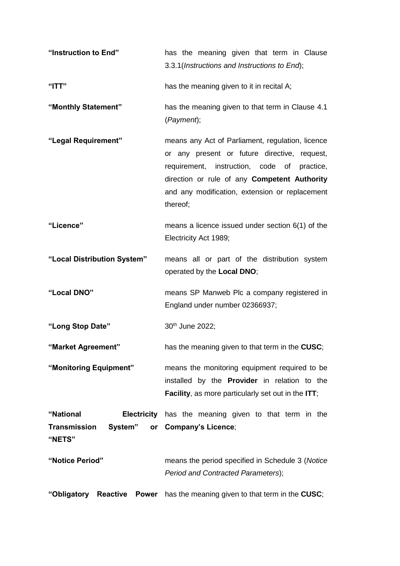**"Instruction to End"** has the meaning given that term in Clause [3.3.1\(](#page-6-1)*Instructions and Instructions to End*); **"ITT"** has the meaning given to it in recital A; **"Monthly Statement"** has the meaning given to that term in Clause [4.1](#page-9-3) (*Payment*); **"Legal Requirement"** means any Act of Parliament, regulation, licence or any present or future directive, request, requirement, instruction, code of practice, direction or rule of any **Competent Authority**  and any modification, extension or replacement thereof; **"Licence"** means a licence issued under section 6(1) of the Electricity Act 1989; **"Local Distribution System"** means all or part of the distribution system operated by the **Local DNO**; **"Local DNO"** means SP Manweb Plc a company registered in England under number 02366937; "Long Stop Date" 30<sup>th</sup> June 2022; **"Market Agreement"** has the meaning given to that term in the **CUSC**; **"Monitoring Equipment"** means the monitoring equipment required to be installed by the **Provider** in relation to the **Facility**, as more particularly set out in the **ITT**; **"National Electricity**  has the meaning given to that term in the **Transmission System" "NETS" Company's Licence**; **"Notice Period"** means the period specified in Schedule 3 (*Notice Period and Contracted Parameters*); **"Obligatory Reactive Power** has the meaning given to that term in the **CUSC**;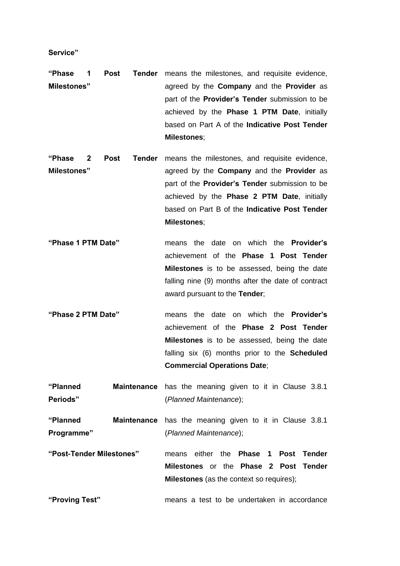**Service"**

- **"Phase 1 Post Tender**  means the milestones, and requisite evidence, **Milestones"** agreed by the **Company** and the **Provider** as part of the **Provider's Tender** submission to be achieved by the **Phase 1 PTM Date**, initially based on Part A of the **Indicative Post Tender Milestones**;
- **"Phase 2 Post Tender**  means the milestones, and requisite evidence, **Milestones"** agreed by the **Company** and the **Provider** as part of the **Provider's Tender** submission to be achieved by the **Phase 2 PTM Date**, initially based on Part B of the **Indicative Post Tender Milestones**;
- **"Phase 1 PTM Date"** means the date on which the **Provider's**  achievement of the **Phase 1 Post Tender Milestones** is to be assessed, being the date falling nine (9) months after the date of contract award pursuant to the **Tender**;
- **"Phase 2 PTM Date"** means the date on which the **Provider's**  achievement of the **Phase 2 Post Tender Milestones** is to be assessed, being the date falling six (6) months prior to the **Scheduled Commercial Operations Date**;
- **"Planned Maintenance**  has the meaning given to it in Clause [3.8.1](#page-9-4) **Periods"** (*Planned Maintenance*);

**"Planned Maintenance**  has the meaning given to it in Clause 3.8.1 **Programme"** (*Planned Maintenance*);

**"Post-Tender Milestones"** means either the **Phase 1 Post Tender Milestones** or the **Phase 2 Post Tender Milestones** (as the context so requires);

**"Proving Test"** means a test to be undertaken in accordance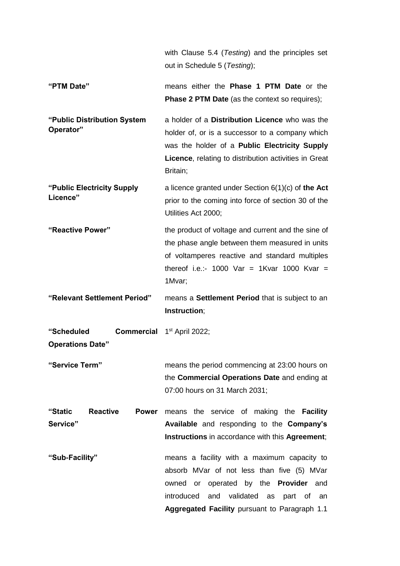with Clause [5.4](#page-13-0) (*Testing*) and the principles set out in Schedule 5 (*Testing*);

- **"PTM Date"** means either the **Phase 1 PTM Date** or the **Phase 2 PTM Date** (as the context so requires);
- **"Public Distribution System Operator"** a holder of a **Distribution Licence** who was the holder of, or is a successor to a company which was the holder of a **Public Electricity Supply Licence**, relating to distribution activities in Great Britain;
- **"Public Electricity Supply Licence"** a licence granted under Section 6(1)(c) of **the Act** prior to the coming into force of section 30 of the Utilities Act 2000;
- **"Reactive Power"** the product of voltage and current and the sine of the phase angle between them measured in units of voltamperes reactive and standard multiples thereof i.e.:- 1000 Var = 1Kvar 1000 Kvar = 1Mvar;

**"Relevant Settlement Period"** means a **Settlement Period** that is subject to an **Instruction**;

"Scheduled **Commercial** 1<sup>st</sup> April 2022; **Operations Date"**

**"Service Term"** means the period commencing at 23:00 hours on the **Commercial Operations Date** and ending at 07:00 hours on 31 March 2031;

"Static Reactive **Service" Power** means the service of making the **Facility Available** and responding to the **Company's Instructions** in accordance with this **Agreement**;

**"Sub-Facility"** means a facility with a maximum capacity to absorb MVar of not less than five (5) MVar owned or operated by the **Provider** and introduced and validated as part of an **Aggregated Facility** pursuant to Paragraph 1.1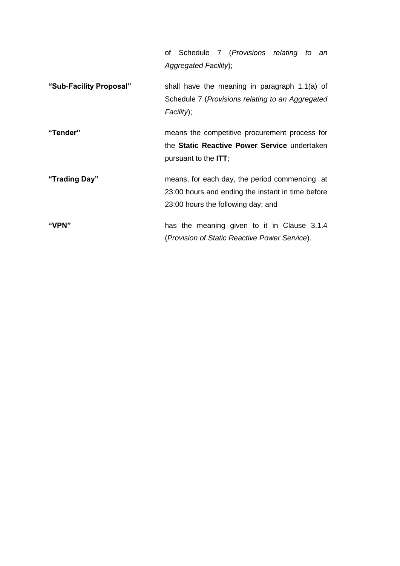|                         | of Schedule 7 (Provisions relating to an<br>Aggregated Facility);                                                                        |
|-------------------------|------------------------------------------------------------------------------------------------------------------------------------------|
| "Sub-Facility Proposal" | shall have the meaning in paragraph 1.1(a) of<br>Schedule 7 (Provisions relating to an Aggregated<br>Facility);                          |
| "Tender"                | means the competitive procurement process for<br>the Static Reactive Power Service undertaken<br>pursuant to the <b>ITT</b> ;            |
| "Trading Day"           | means, for each day, the period commencing at<br>23:00 hours and ending the instant in time before<br>23:00 hours the following day; and |
| "VPN"                   | has the meaning given to it in Clause 3.1.4<br>(Provision of Static Reactive Power Service).                                             |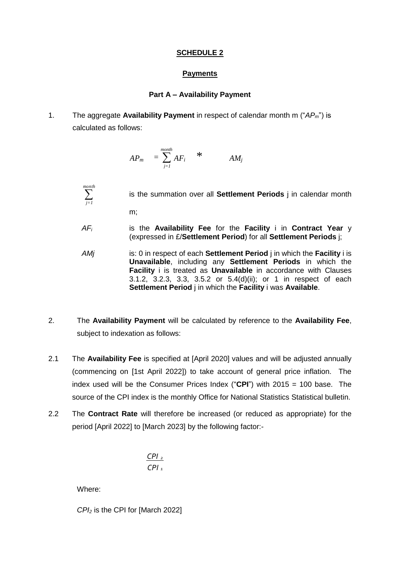# **SCHEDULE 2**

# **Payments**

# **Part A – Availability Payment**

1. The aggregate **Availability Payment** in respect of calendar month m ("*APm*") is calculated as follows:

$$
AP_m = \sum_{j=1}^{month} AF_i \qquad * \qquad AM_j
$$

is the summation over all **Settlement Periods** j in calendar month

m;

 *month j=1*

- *AF<sup>i</sup>* is the **Availability Fee** for the **Facility** i in **Contract Year** y (expressed in £/**Settlement Period**) for all **Settlement Periods** j;
- *AMj* is: 0 in respect of each **Settlement Period** j in which the **Facility** i is **Unavailable**, including any **Settlement Periods** in which the **Facility** i is treated as **Unavailable** in accordance with Clauses [3.1.2,](#page-4-2) [3.2.3,](#page-6-3) [3.3,](#page-6-4) [3.5.2](#page-8-2) or [5.4\(](#page-13-0)d)(ii); or 1 in respect of each **Settlement Period** j in which the **Facility** i was **Available**.
- 2. The **Availability Payment** will be calculated by reference to the **Availability Fee**, subject to indexation as follows:
- 2.1 The **Availability Fee** is specified at [April 2020] values and will be adjusted annually (commencing on [1st April 2022]) to take account of general price inflation. The index used will be the Consumer Prices Index ("**CPI**") with 2015 = 100 base. The source of the CPI index is the monthly Office for National Statistics Statistical bulletin.
- 2.2 The **Contract Rate** will therefore be increased (or reduced as appropriate) for the period [April 2022] to [March 2023] by the following factor:-

$$
\frac{\text{CPI}_2}{\text{CPI}_1}
$$

Where:

*CPI<sup>2</sup>* is the CPI for [March 2022]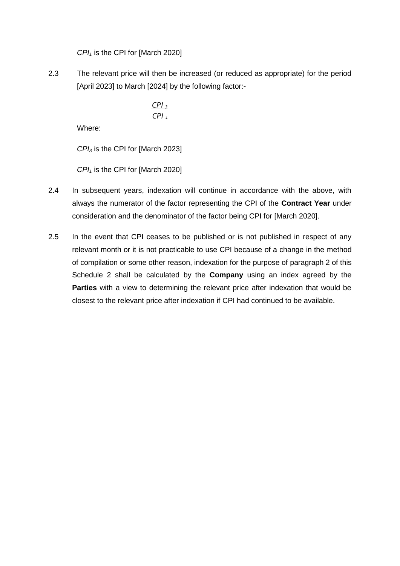*CPI<sup>1</sup>* is the CPI for [March 2020]

2.3 The relevant price will then be increased (or reduced as appropriate) for the period [April 2023] to March [2024] by the following factor:-

$$
\frac{\text{CPI}_3}{\text{CPI}_1}
$$

Where:

*CPI<sup>3</sup>* is the CPI for [March 2023]

*CPI<sup>1</sup>* is the CPI for [March 2020]

- 2.4 In subsequent years, indexation will continue in accordance with the above, with always the numerator of the factor representing the CPI of the **Contract Year** under consideration and the denominator of the factor being CPI for [March 2020].
- 2.5 In the event that CPI ceases to be published or is not published in respect of any relevant month or it is not practicable to use CPI because of a change in the method of compilation or some other reason, indexation for the purpose of paragraph 2 of this Schedule 2 shall be calculated by the **Company** using an index agreed by the **Parties** with a view to determining the relevant price after indexation that would be closest to the relevant price after indexation if CPI had continued to be available.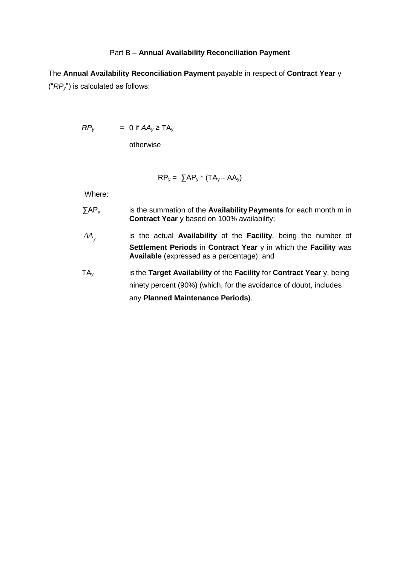#### Part B – **Annual Availability Reconciliation Payment**

The **Annual Availability Reconciliation Payment** payable in respect of **Contract Year** y ("*RPy*") is calculated as follows:

 $RP_v$  = 0 if  $AA_v \geq TA_v$ 

otherwise

$$
RP_y = \sum AP_y \cdot (TA_y - AA_y)
$$

Where:

- ∑AP<sup>y</sup> is the summation of the **Availability Payments** for each month m in **Contract Year** y based on 100% availability;
- *AA<sup>y</sup>* is the actual **Availability** of the **Facility**, being the number of **Settlement Periods** in **Contract Year** y in which the **Facility** was **Available** (expressed as a percentage); and
- TA<sup>y</sup> is the **Target Availability** of the **Facility** for **Contract Year** y, being ninety percent (90%) (which, for the avoidance of doubt, includes any **Planned Maintenance Periods**).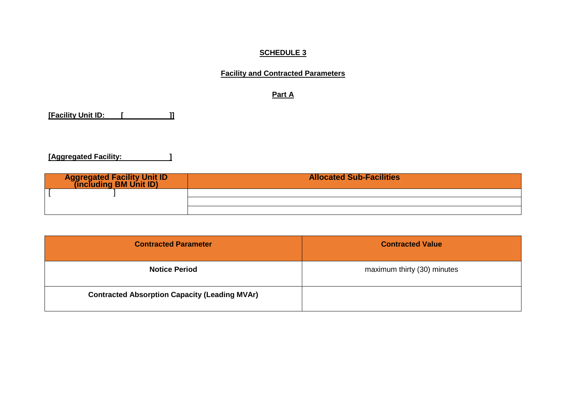# **SCHEDULE 3**

# **Facility and Contracted Parameters**

**Part A**

**[Facility Unit ID: [ ]]**

**[Aggregated Facility: ]**

| <b>Aggregated Facility Unit ID</b><br>(including BM Unit ID) | <b>Allocated Sub-Facilities</b> |
|--------------------------------------------------------------|---------------------------------|
|                                                              |                                 |
|                                                              |                                 |
|                                                              |                                 |

| <b>Contracted Parameter</b>                          | <b>Contracted Value</b>     |
|------------------------------------------------------|-----------------------------|
| <b>Notice Period</b>                                 | maximum thirty (30) minutes |
| <b>Contracted Absorption Capacity (Leading MVAr)</b> |                             |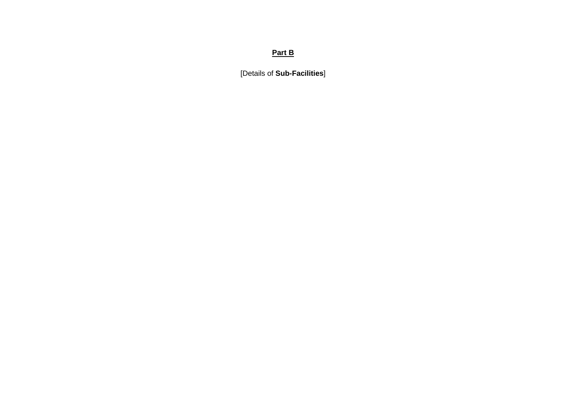# **Part B**

[Details of **Sub-Facilities**]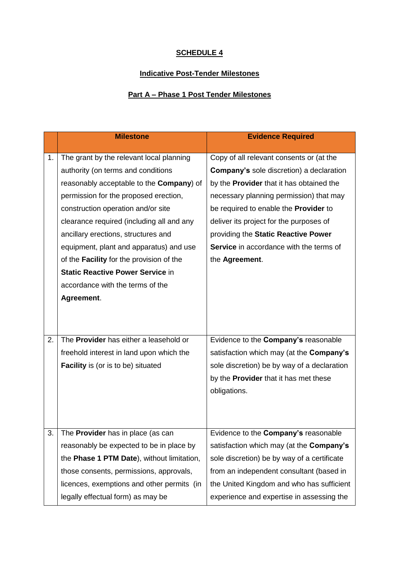# **SCHEDULE 4**

# **Indicative Post-Tender Milestones**

# **Part A – Phase 1 Post Tender Milestones**

|    | <b>Milestone</b>                                 | <b>Evidence Required</b>                        |
|----|--------------------------------------------------|-------------------------------------------------|
| 1. | The grant by the relevant local planning         | Copy of all relevant consents or (at the        |
|    | authority (on terms and conditions               | <b>Company's sole discretion) a declaration</b> |
|    | reasonably acceptable to the <b>Company</b> ) of | by the <b>Provider</b> that it has obtained the |
|    | permission for the proposed erection,            | necessary planning permission) that may         |
|    | construction operation and/or site               | be required to enable the Provider to           |
|    | clearance required (including all and any        | deliver its project for the purposes of         |
|    | ancillary erections, structures and              | providing the Static Reactive Power             |
|    | equipment, plant and apparatus) and use          | <b>Service</b> in accordance with the terms of  |
|    | of the Facility for the provision of the         | the Agreement.                                  |
|    | <b>Static Reactive Power Service in</b>          |                                                 |
|    | accordance with the terms of the                 |                                                 |
|    | Agreement.                                       |                                                 |
|    |                                                  |                                                 |
|    |                                                  |                                                 |
| 2. | The <b>Provider</b> has either a leasehold or    | Evidence to the Company's reasonable            |
|    | freehold interest in land upon which the         | satisfaction which may (at the Company's        |
|    | <b>Facility</b> is (or is to be) situated        | sole discretion) be by way of a declaration     |
|    |                                                  | by the <b>Provider</b> that it has met these    |
|    |                                                  | obligations.                                    |
|    |                                                  |                                                 |
|    |                                                  |                                                 |
| 3. | The <b>Provider</b> has in place (as can         | Evidence to the Company's reasonable            |
|    | reasonably be expected to be in place by         | satisfaction which may (at the Company's        |
|    | the Phase 1 PTM Date), without limitation,       | sole discretion) be by way of a certificate     |
|    | those consents, permissions, approvals,          | from an independent consultant (based in        |
|    | licences, exemptions and other permits (in       | the United Kingdom and who has sufficient       |
|    | legally effectual form) as may be                | experience and expertise in assessing the       |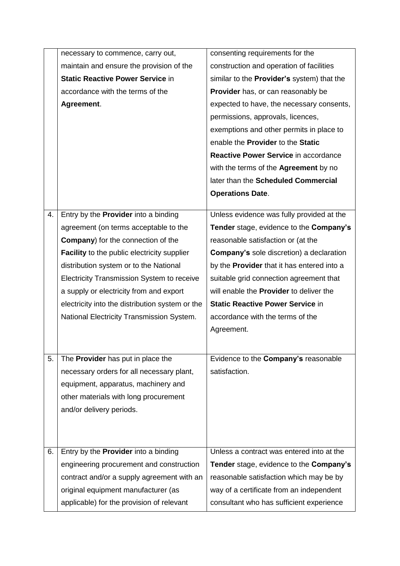|    | necessary to commence, carry out,                  | consenting requirements for the                                                  |  |
|----|----------------------------------------------------|----------------------------------------------------------------------------------|--|
|    | maintain and ensure the provision of the           | construction and operation of facilities                                         |  |
|    | <b>Static Reactive Power Service in</b>            | similar to the Provider's system) that the<br>Provider has, or can reasonably be |  |
|    | accordance with the terms of the                   |                                                                                  |  |
|    | Agreement.                                         | expected to have, the necessary consents,                                        |  |
|    |                                                    | permissions, approvals, licences,                                                |  |
|    |                                                    | exemptions and other permits in place to                                         |  |
|    |                                                    | enable the Provider to the Static                                                |  |
|    |                                                    | Reactive Power Service in accordance                                             |  |
|    |                                                    | with the terms of the <b>Agreement</b> by no                                     |  |
|    |                                                    | later than the Scheduled Commercial                                              |  |
|    |                                                    | <b>Operations Date.</b>                                                          |  |
|    |                                                    |                                                                                  |  |
| 4. | Entry by the <b>Provider</b> into a binding        | Unless evidence was fully provided at the                                        |  |
|    | agreement (on terms acceptable to the              | Tender stage, evidence to the Company's                                          |  |
|    | <b>Company</b> ) for the connection of the         | reasonable satisfaction or (at the                                               |  |
|    | <b>Facility</b> to the public electricity supplier | <b>Company's sole discretion) a declaration</b>                                  |  |
|    | distribution system or to the National             | by the <b>Provider</b> that it has entered into a                                |  |
|    | Electricity Transmission System to receive         | suitable grid connection agreement that                                          |  |
|    | a supply or electricity from and export            | will enable the <b>Provider</b> to deliver the                                   |  |
|    | electricity into the distribution system or the    | <b>Static Reactive Power Service in</b>                                          |  |
|    | National Electricity Transmission System.          | accordance with the terms of the                                                 |  |
|    |                                                    | Agreement.                                                                       |  |
|    |                                                    |                                                                                  |  |
| 5. | The Provider has put in place the                  | Evidence to the Company's reasonable                                             |  |
|    | necessary orders for all necessary plant,          | satisfaction.                                                                    |  |
|    | equipment, apparatus, machinery and                |                                                                                  |  |
|    | other materials with long procurement              |                                                                                  |  |
|    | and/or delivery periods.                           |                                                                                  |  |
|    |                                                    |                                                                                  |  |
|    |                                                    |                                                                                  |  |
| 6. | Entry by the <b>Provider</b> into a binding        | Unless a contract was entered into at the                                        |  |
|    | engineering procurement and construction           | Tender stage, evidence to the Company's                                          |  |
|    | contract and/or a supply agreement with an         | reasonable satisfaction which may be by                                          |  |
|    | original equipment manufacturer (as                | way of a certificate from an independent                                         |  |
|    | applicable) for the provision of relevant          | consultant who has sufficient experience                                         |  |
|    |                                                    |                                                                                  |  |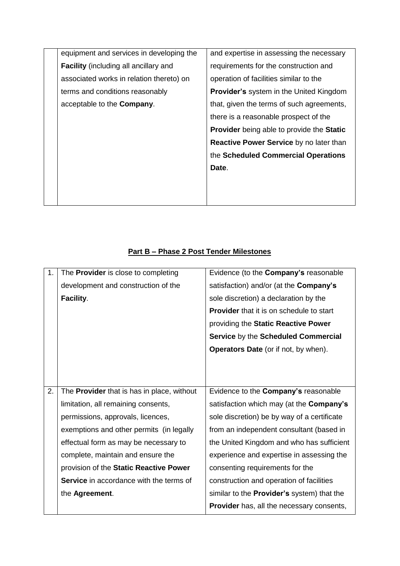| equipment and services in developing the     | and expertise in assessing the necessary         |
|----------------------------------------------|--------------------------------------------------|
| <b>Facility</b> (including all ancillary and | requirements for the construction and            |
| associated works in relation thereto) on     | operation of facilities similar to the           |
| terms and conditions reasonably              | <b>Provider's</b> system in the United Kingdom   |
| acceptable to the <b>Company</b> .           | that, given the terms of such agreements,        |
|                                              | there is a reasonable prospect of the            |
|                                              | <b>Provider</b> being able to provide the Static |
|                                              | <b>Reactive Power Service by no later than</b>   |
|                                              | the Scheduled Commercial Operations              |
|                                              | Date.                                            |
|                                              |                                                  |
|                                              |                                                  |

# **Part B – Phase 2 Post Tender Milestones**

| 1. | The <b>Provider</b> is close to completing     | Evidence (to the Company's reasonable             |  |
|----|------------------------------------------------|---------------------------------------------------|--|
|    | development and construction of the            | satisfaction) and/or (at the Company's            |  |
|    | Facility.                                      | sole discretion) a declaration by the             |  |
|    |                                                | <b>Provider</b> that it is on schedule to start   |  |
|    |                                                | providing the Static Reactive Power               |  |
|    |                                                | Service by the Scheduled Commercial               |  |
|    |                                                | <b>Operators Date</b> (or if not, by when).       |  |
|    |                                                |                                                   |  |
|    |                                                |                                                   |  |
| 2. | The Provider that is has in place, without     | Evidence to the Company's reasonable              |  |
|    | limitation, all remaining consents,            | satisfaction which may (at the <b>Company's</b>   |  |
|    | permissions, approvals, licences,              | sole discretion) be by way of a certificate       |  |
|    | exemptions and other permits (in legally       | from an independent consultant (based in          |  |
|    | effectual form as may be necessary to          | the United Kingdom and who has sufficient         |  |
|    | complete, maintain and ensure the              | experience and expertise in assessing the         |  |
|    | provision of the Static Reactive Power         | consenting requirements for the                   |  |
|    | <b>Service</b> in accordance with the terms of | construction and operation of facilities          |  |
|    | the Agreement.                                 | similar to the <b>Provider's</b> system) that the |  |
|    |                                                |                                                   |  |
|    |                                                | <b>Provider</b> has, all the necessary consents,  |  |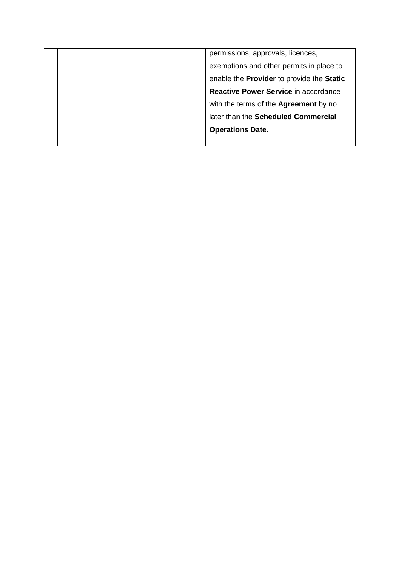| permissions, approvals, licences, |                                              |
|-----------------------------------|----------------------------------------------|
|                                   | exemptions and other permits in place to     |
|                                   | enable the Provider to provide the Static    |
|                                   | Reactive Power Service in accordance         |
|                                   | with the terms of the <b>Agreement</b> by no |
|                                   | later than the Scheduled Commercial          |
|                                   | <b>Operations Date.</b>                      |
|                                   |                                              |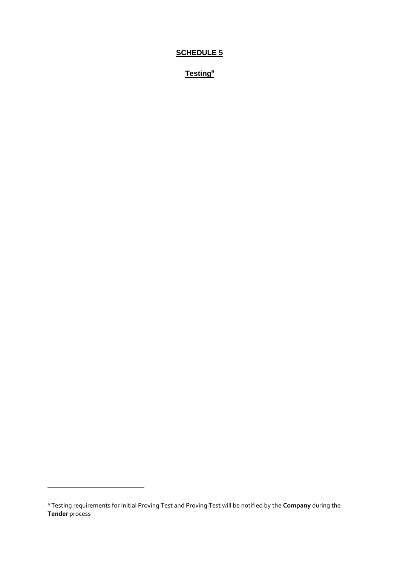# **SCHEDULE 5**

**Testing<sup>9</sup>**

 $\overline{a}$ 

<sup>9</sup> Testing requirements for Initial Proving Test and Proving Test will be notified by the **Company** during the **Tender** process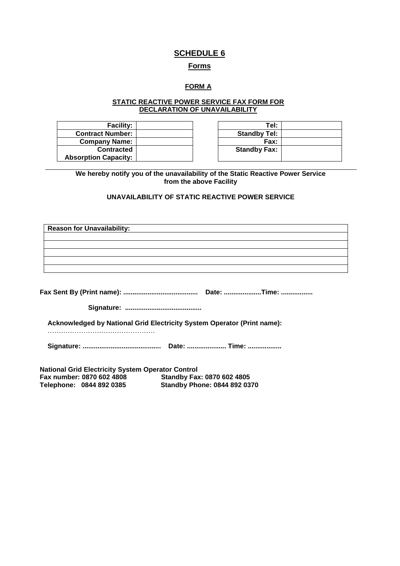# **SCHEDULE 6**

#### **Forms**

# **FORM A**

#### **STATIC REACTIVE POWER SERVICE FAX FORM FOR DECLARATION OF UNAVAILABILITY**

| <b>Facility:</b>            | Tel:                |
|-----------------------------|---------------------|
| <b>Contract Number:</b>     | <b>Standby Tel:</b> |
| <b>Company Name:</b>        | Fax:                |
| <b>Contracted</b>           | <b>Standby Fax:</b> |
| <b>Absorption Capacity:</b> |                     |

| Tel:                |  |
|---------------------|--|
| <b>Standby Tel:</b> |  |
| Fax:                |  |
| <b>Standby Fax:</b> |  |
|                     |  |

**We hereby notify you of the unavailability of the Static Reactive Power Service from the above Facility**

# **UNAVAILABILITY OF STATIC REACTIVE POWER SERVICE**

| <b>Reason for Unavailability:</b>                                       |
|-------------------------------------------------------------------------|
|                                                                         |
|                                                                         |
|                                                                         |
|                                                                         |
|                                                                         |
|                                                                         |
|                                                                         |
|                                                                         |
|                                                                         |
| Acknowledged by National Grid Electricity System Operator (Print name): |
|                                                                         |
|                                                                         |
|                                                                         |
| <b>National Grid Electricity System Operator Control</b>                |
| Fax number: 0870 602 4808<br>Standby Fax: 0870 602 4805                 |

**Telephone: 0844 892 0385 Standby Phone: 0844 892 0370**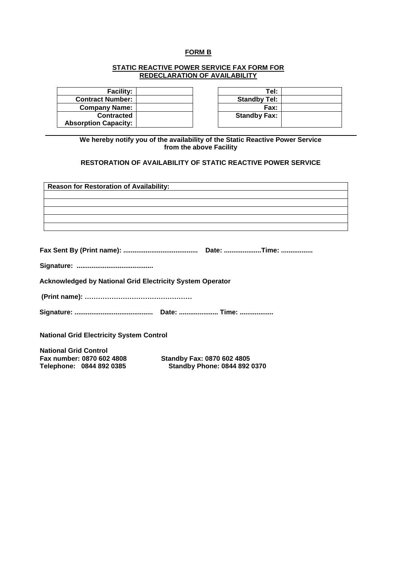### **FORM B**

#### **STATIC REACTIVE POWER SERVICE FAX FORM FOR REDECLARATION OF AVAILABILITY**

| <b>Facility:</b>            | Tel:                |
|-----------------------------|---------------------|
| <b>Contract Number:</b>     | <b>Standby Tel:</b> |
| <b>Company Name:</b>        | <b>Fax:</b>         |
| <b>Contracted</b>           | <b>Standby Fax:</b> |
| <b>Absorption Capacity:</b> |                     |

| Tel:                |  |
|---------------------|--|
| <b>Standby Tel:</b> |  |
| Fax:                |  |
| <b>Standby Fax:</b> |  |
|                     |  |

**We hereby notify you of the availability of the Static Reactive Power Service from the above Facility**

#### **RESTORATION OF AVAILABILITY OF STATIC REACTIVE POWER SERVICE**

| <b>Reason for Restoration of Availability:</b>                   |                                     |
|------------------------------------------------------------------|-------------------------------------|
|                                                                  |                                     |
|                                                                  |                                     |
|                                                                  |                                     |
|                                                                  |                                     |
|                                                                  |                                     |
|                                                                  |                                     |
|                                                                  |                                     |
|                                                                  |                                     |
| <b>Acknowledged by National Grid Electricity System Operator</b> |                                     |
|                                                                  |                                     |
|                                                                  |                                     |
| <b>National Grid Electricity System Control</b>                  |                                     |
| <b>National Grid Control</b>                                     |                                     |
| Fax number: 0870 602 4808                                        | <b>Standby Fax: 0870 602 4805</b>   |
| Telephone: 0844 892 0385                                         | <b>Standby Phone: 0844 892 0370</b> |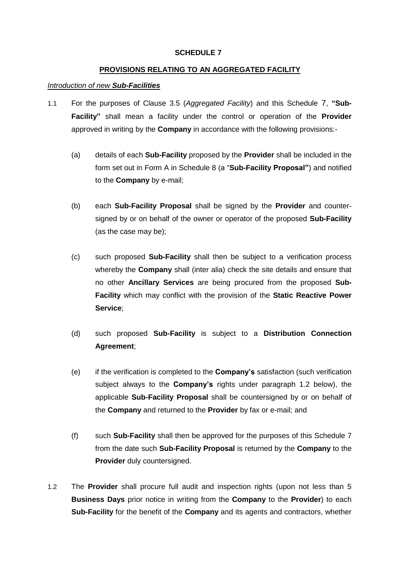#### **SCHEDULE 7**

### **PROVISIONS RELATING TO AN AGGREGATED FACILITY**

### *Introduction of new Sub-Facilities*

- 1.1 For the purposes of Clause [3.5](#page-7-0) (*Aggregated Facility*) and this Schedule 7, **"Sub-Facility"** shall mean a facility under the control or operation of the **Provider** approved in writing by the **Company** in accordance with the following provisions:-
	- (a) details of each **Sub-Facility** proposed by the **Provider** shall be included in the form set out in Form A in Schedule 8 (a "**Sub-Facility Proposal"**) and notified to the **Company** by e-mail;
	- (b) each **Sub-Facility Proposal** shall be signed by the **Provider** and countersigned by or on behalf of the owner or operator of the proposed **Sub-Facility** (as the case may be);
	- (c) such proposed **Sub-Facility** shall then be subject to a verification process whereby the **Company** shall (inter alia) check the site details and ensure that no other **Ancillary Services** are being procured from the proposed **Sub-Facility** which may conflict with the provision of the **Static Reactive Power Service**;
	- (d) such proposed **Sub-Facility** is subject to a **Distribution Connection Agreement**;
	- (e) if the verification is completed to the **Company's** satisfaction (such verification subject always to the **Company's** rights under paragraph 1.2 below), the applicable **Sub-Facility Proposal** shall be countersigned by or on behalf of the **Company** and returned to the **Provider** by fax or e-mail; and
	- (f) such **Sub-Facility** shall then be approved for the purposes of this Schedule 7 from the date such **Sub-Facility Proposal** is returned by the **Company** to the **Provider** duly countersigned.
- <span id="page-53-0"></span>1.2 The **Provider** shall procure full audit and inspection rights (upon not less than 5 **Business Days** prior notice in writing from the **Company** to the **Provider**) to each **Sub-Facility** for the benefit of the **Company** and its agents and contractors, whether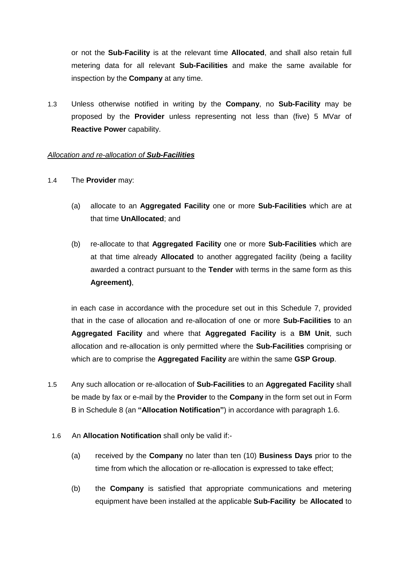or not the **Sub-Facility** is at the relevant time **Allocated**, and shall also retain full metering data for all relevant **Sub-Facilities** and make the same available for inspection by the **Company** at any time.

1.3 Unless otherwise notified in writing by the **Company**, no **Sub-Facility** may be proposed by the **Provider** unless representing not less than (five) 5 MVar of **Reactive Power** capability.

#### *Allocation and re-allocation of Sub-Facilities*

- 1.4 The **Provider** may:
	- (a) allocate to an **Aggregated Facility** one or more **Sub-Facilities** which are at that time **UnAllocated**; and
	- (b) re-allocate to that **Aggregated Facility** one or more **Sub-Facilities** which are at that time already **Allocated** to another aggregated facility (being a facility awarded a contract pursuant to the **Tender** with terms in the same form as this **Agreement)**,

in each case in accordance with the procedure set out in this Schedule 7, provided that in the case of allocation and re-allocation of one or more **Sub-Facilities** to an **Aggregated Facility** and where that **Aggregated Facility** is a **BM Unit**, such allocation and re-allocation is only permitted where the **Sub-Facilities** comprising or which are to comprise the **Aggregated Facility** are within the same **GSP Group**.

- 1.5 Any such allocation or re-allocation of **Sub-Facilities** to an **Aggregated Facility** shall be made by fax or e-mail by the **Provider** to the **Company** in the form set out in Form B in Schedule 8 (an **"Allocation Notification"**) in accordance with paragraph 1.6.
- 1.6 An **Allocation Notification** shall only be valid if:-
	- (a) received by the **Company** no later than ten (10) **Business Days** prior to the time from which the allocation or re-allocation is expressed to take effect;
	- (b) the **Company** is satisfied that appropriate communications and metering equipment have been installed at the applicable **Sub-Facility** be **Allocated** to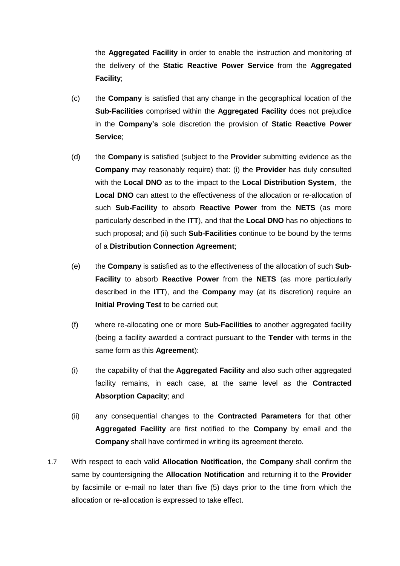the **Aggregated Facility** in order to enable the instruction and monitoring of the delivery of the **Static Reactive Power Service** from the **Aggregated Facility**;

- (c) the **Company** is satisfied that any change in the geographical location of the **Sub-Facilities** comprised within the **Aggregated Facility** does not prejudice in the **Company's** sole discretion the provision of **Static Reactive Power Service**;
- (d) the **Company** is satisfied (subject to the **Provider** submitting evidence as the **Company** may reasonably require) that: (i) the **Provider** has duly consulted with the **Local DNO** as to the impact to the **Local Distribution System**, the **Local DNO** can attest to the effectiveness of the allocation or re-allocation of such **Sub-Facility** to absorb **Reactive Power** from the **NETS** (as more particularly described in the **ITT**), and that the **Local DNO** has no objections to such proposal; and (ii) such **Sub-Facilities** continue to be bound by the terms of a **Distribution Connection Agreement**;
- (e) the **Company** is satisfied as to the effectiveness of the allocation of such **Sub-Facility** to absorb **Reactive Power** from the **NETS** (as more particularly described in the **ITT**), and the **Company** may (at its discretion) require an **Initial Proving Test** to be carried out;
- (f) where re-allocating one or more **Sub-Facilities** to another aggregated facility (being a facility awarded a contract pursuant to the **Tender** with terms in the same form as this **Agreement**):
- (i) the capability of that the **Aggregated Facility** and also such other aggregated facility remains, in each case, at the same level as the **Contracted Absorption Capacity**; and
- (ii) any consequential changes to the **Contracted Parameters** for that other **Aggregated Facility** are first notified to the **Company** by email and the **Company** shall have confirmed in writing its agreement thereto.
- 1.7 With respect to each valid **Allocation Notification**, the **Company** shall confirm the same by countersigning the **Allocation Notification** and returning it to the **Provider** by facsimile or e-mail no later than five (5) days prior to the time from which the allocation or re-allocation is expressed to take effect.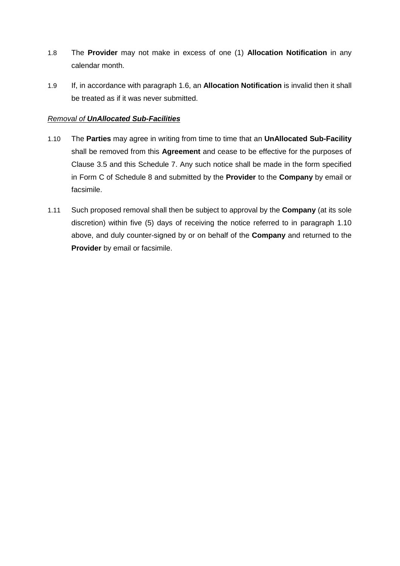- 1.8 The **Provider** may not make in excess of one (1) **Allocation Notification** in any calendar month.
- 1.9 If, in accordance with paragraph 1.6, an **Allocation Notification** is invalid then it shall be treated as if it was never submitted.

# *Removal of UnAllocated Sub-Facilities*

- 1.10 The **Parties** may agree in writing from time to time that an **UnAllocated Sub-Facility** shall be removed from this **Agreement** and cease to be effective for the purposes of Clause [3.5](#page-7-0) and this Schedule 7. Any such notice shall be made in the form specified in Form C of Schedule 8 and submitted by the **Provider** to the **Company** by email or facsimile.
- 1.11 Such proposed removal shall then be subject to approval by the **Company** (at its sole discretion) within five (5) days of receiving the notice referred to in paragraph 1.10 above, and duly counter-signed by or on behalf of the **Company** and returned to the **Provider** by email or facsimile.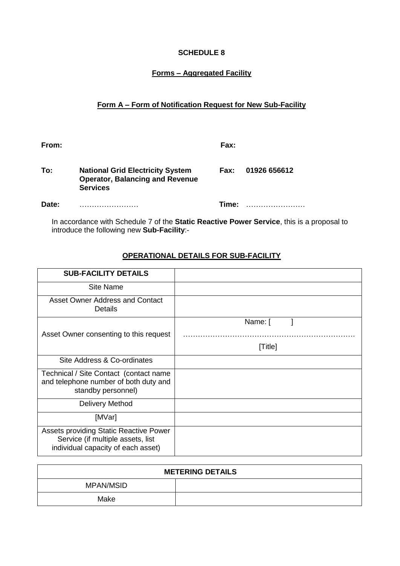# **SCHEDULE 8**

# **Forms – Aggregated Facility**

# **Form A – Form of Notification Request for New Sub-Facility**

| From: |                                                                                                      | Fax:  |              |
|-------|------------------------------------------------------------------------------------------------------|-------|--------------|
| To:   | <b>National Grid Electricity System</b><br><b>Operator, Balancing and Revenue</b><br><b>Services</b> | Fax:  | 01926 656612 |
| Date: |                                                                                                      | Time: |              |

In accordance with Schedule 7 of the **Static Reactive Power Service**, this is a proposal to introduce the following new **Sub-Facility**:-

# **OPERATIONAL DETAILS FOR SUB-FACILITY**

| <b>SUB-FACILITY DETAILS</b>                                                                                       |         |
|-------------------------------------------------------------------------------------------------------------------|---------|
| Site Name                                                                                                         |         |
| Asset Owner Address and Contact<br><b>Details</b>                                                                 |         |
|                                                                                                                   | Name: [ |
| Asset Owner consenting to this request                                                                            |         |
|                                                                                                                   | [Title] |
| Site Address & Co-ordinates                                                                                       |         |
| Technical / Site Contact (contact name<br>and telephone number of both duty and<br>standby personnel)             |         |
| Delivery Method                                                                                                   |         |
| [MVar]                                                                                                            |         |
| Assets providing Static Reactive Power<br>Service (if multiple assets, list<br>individual capacity of each asset) |         |

| <b>METERING DETAILS</b> |  |  |  |
|-------------------------|--|--|--|
| <b>MPAN/MSID</b>        |  |  |  |
| Make                    |  |  |  |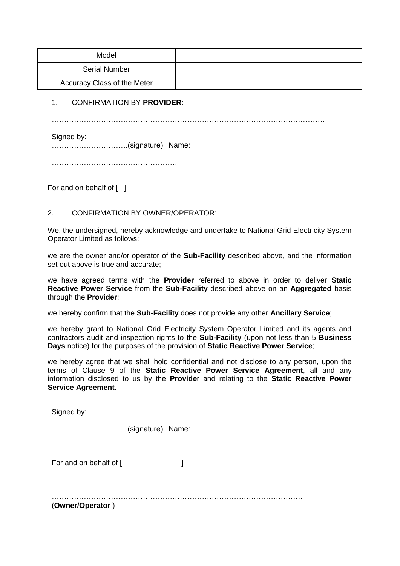| Model                       |  |
|-----------------------------|--|
| <b>Serial Number</b>        |  |
| Accuracy Class of the Meter |  |

# 1. CONFIRMATION BY **PROVIDER**:

…………………………………………………………………………………………………

Signed by:

………………………….(signature) Name:

……………………………………………

For and on behalf of [ ]

# 2. CONFIRMATION BY OWNER/OPERATOR:

We, the undersigned, hereby acknowledge and undertake to National Grid Electricity System Operator Limited as follows:

we are the owner and/or operator of the **Sub-Facility** described above, and the information set out above is true and accurate;

we have agreed terms with the **Provider** referred to above in order to deliver **Static Reactive Power Service** from the **Sub-Facility** described above on an **Aggregated** basis through the **Provider**;

we hereby confirm that the **Sub-Facility** does not provide any other **Ancillary Service**;

we hereby grant to National Grid Electricity System Operator Limited and its agents and contractors audit and inspection rights to the **Sub-Facility** (upon not less than 5 **Business Days** notice) for the purposes of the provision of **Static Reactive Power Service**;

we hereby agree that we shall hold confidential and not disclose to any person, upon the terms of Clause 9 of the **Static Reactive Power Service Agreement**, all and any information disclosed to us by the **Provide**r and relating to the **Static Reactive Power Service Agreement**.

Signed by:

………………………….(signature) Name:

…………………………………………

For and on behalf of [  $\qquad \qquad$  ]

…………………………………………………………………………………………

(**Owner/Operator** )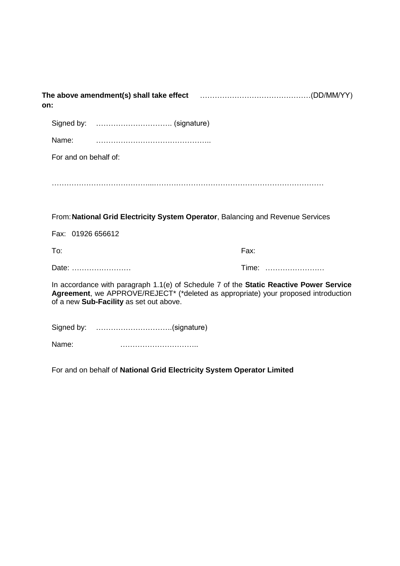| on:   |                                         |                                                                                                                                                                                |
|-------|-----------------------------------------|--------------------------------------------------------------------------------------------------------------------------------------------------------------------------------|
|       |                                         |                                                                                                                                                                                |
| Name: |                                         |                                                                                                                                                                                |
|       | For and on behalf of:                   |                                                                                                                                                                                |
|       |                                         |                                                                                                                                                                                |
|       |                                         | From: National Grid Electricity System Operator, Balancing and Revenue Services                                                                                                |
|       | Fax: 01926 656612                       |                                                                                                                                                                                |
| To:   |                                         | Fax:                                                                                                                                                                           |
|       | Date:                                   | Time:                                                                                                                                                                          |
|       | of a new Sub-Facility as set out above. | In accordance with paragraph $1.1(e)$ of Schedule 7 of the Static Reactive Power Service<br>Agreement, we APPROVE/REJECT* (*deleted as appropriate) your proposed introduction |
|       | Signed by: (signature)                  |                                                                                                                                                                                |
| Name: |                                         |                                                                                                                                                                                |

For and on behalf of **National Grid Electricity System Operator Limited**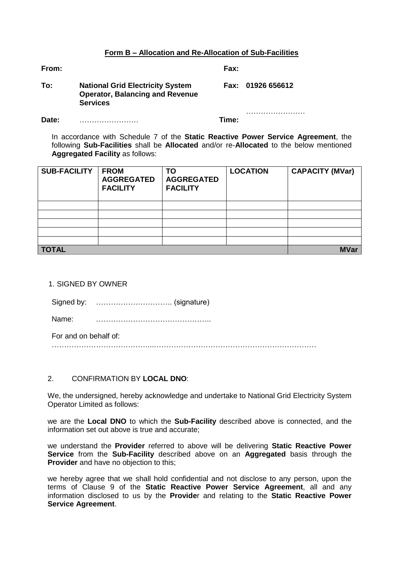#### **Form B – Allocation and Re-Allocation of Sub-Facilities**

**From: Fax:**

| To: | <b>National Grid Electricity System</b> | Fax: 01926 656612 |
|-----|-----------------------------------------|-------------------|
|     | <b>Operator, Balancing and Revenue</b>  |                   |
|     | <b>Services</b>                         |                   |

**Date:** …………………… **Time:**

……………………………

In accordance with Schedule 7 of the **Static Reactive Power Service Agreement**, the following **Sub-Facilities** shall be **Allocated** and/or re-**Allocated** to the below mentioned **Aggregated Facility** as follows:

| <b>SUB-FACILITY</b> | <b>FROM</b><br><b>AGGREGATED</b><br><b>FACILITY</b> | <b>TO</b><br><b>AGGREGATED</b><br><b>FACILITY</b> | <b>LOCATION</b> | <b>CAPACITY (MVar)</b> |
|---------------------|-----------------------------------------------------|---------------------------------------------------|-----------------|------------------------|
|                     |                                                     |                                                   |                 |                        |
|                     |                                                     |                                                   |                 |                        |
|                     |                                                     |                                                   |                 |                        |
|                     |                                                     |                                                   |                 |                        |
|                     |                                                     |                                                   |                 |                        |
| <b>TOTAL</b>        |                                                     |                                                   |                 | <b>MVar</b>            |

1. SIGNED BY OWNER

| Signed by: |  |  |
|------------|--|--|
|------------|--|--|

Name: ………………………………………..

For and on behalf of:

…………………………………...…………………………………………………………

# 2. CONFIRMATION BY **LOCAL DNO**:

We, the undersigned, hereby acknowledge and undertake to National Grid Electricity System Operator Limited as follows:

we are the **Local DNO** to which the **Sub-Facility** described above is connected, and the information set out above is true and accurate;

we understand the **Provider** referred to above will be delivering **Static Reactive Power Service** from the **Sub-Facility** described above on an **Aggregated** basis through the **Provider** and have no objection to this;

we hereby agree that we shall hold confidential and not disclose to any person, upon the terms of Clause 9 of the **Static Reactive Power Service Agreement**, all and any information disclosed to us by the **Provide**r and relating to the **Static Reactive Power Service Agreement**.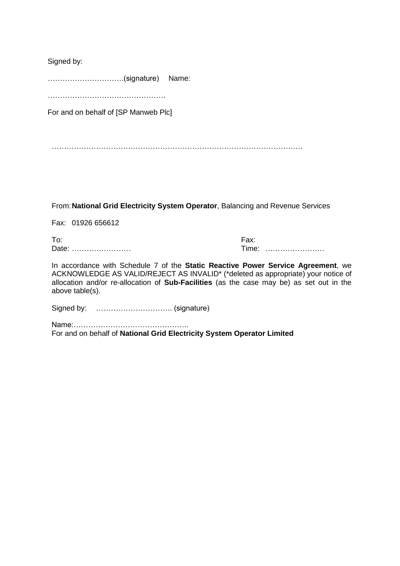Signed by:

………………………….(signature) Name:

………………………………………………

For and on behalf of [SP Manweb Plc]

…………………………………………………………………………………………

From:**National Grid Electricity System Operator**, Balancing and Revenue Services

Fax: 01926 656612

To: Fax: Date: …………………… Time: ……………………

In accordance with Schedule 7 of the **Static Reactive Power Service Agreement**, we ACKNOWLEDGE AS VALID/REJECT AS INVALID\* (\*deleted as appropriate) your notice of allocation and/or re-allocation of **Sub-Facilities** (as the case may be) as set out in the above table(s).

Signed by: …………………………. (signature)

Name:……………………………………….. For and on behalf of **National Grid Electricity System Operator Limited**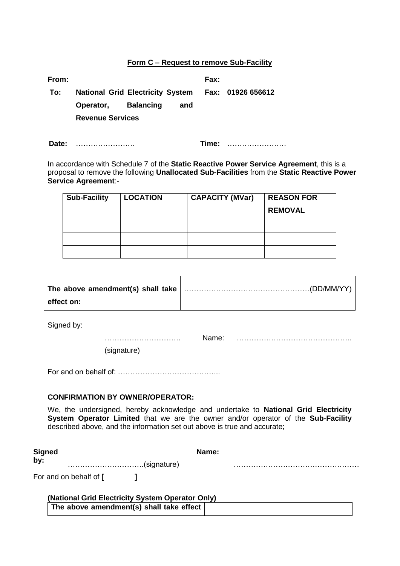#### **Form C – Request to remove Sub-Facility**

| From: |                         |     | Fax: |                                                    |
|-------|-------------------------|-----|------|----------------------------------------------------|
| To:   |                         |     |      | National Grid Electricity System Fax: 01926 656612 |
|       | Operator, Balancing     | and |      |                                                    |
|       | <b>Revenue Services</b> |     |      |                                                    |
|       |                         |     |      |                                                    |

**Date:** …………………… **Time:** ……………………

In accordance with Schedule 7 of the **Static Reactive Power Service Agreement**, this is a proposal to remove the following **Unallocated Sub-Facilities** from the **Static Reactive Power Service Agreement**:-

| <b>Sub-Facility</b> | <b>LOCATION</b> | <b>CAPACITY (MVar)</b> | <b>REASON FOR</b> |
|---------------------|-----------------|------------------------|-------------------|
|                     |                 |                        | <b>REMOVAL</b>    |
|                     |                 |                        |                   |
|                     |                 |                        |                   |
|                     |                 |                        |                   |

| effect on: |  |
|------------|--|

Signed by:

 $\mathcal{L}_{\text{max}}$ Name: ………………………………………..

(signature)

For and on behalf of: …………………………………...

# **CONFIRMATION BY OWNER/OPERATOR:**

We, the undersigned, hereby acknowledge and undertake to **National Grid Electricity System Operator Limited** that we are the owner and/or operator of the **Sub-Facility** described above, and the information set out above is true and accurate;

| Signed                        | Name: |  |  |  |
|-------------------------------|-------|--|--|--|
| by:<br>(signature)(signature) |       |  |  |  |
| For and on behalf of [        |       |  |  |  |

| (National Grid Electricity System Operator Only) |  |
|--------------------------------------------------|--|
| The above amendment(s) shall take effect $ $     |  |